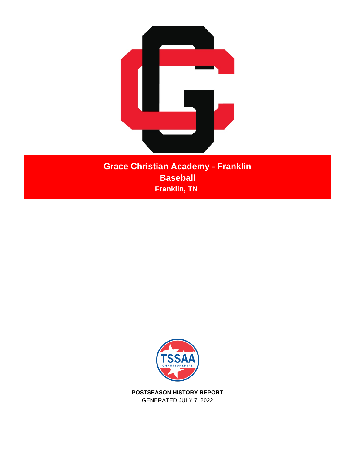

**Grace Christian Academy - Franklin Baseball Franklin, TN** 



**POSTSEASON HISTORY REPORT** GENERATED JULY 7, 2022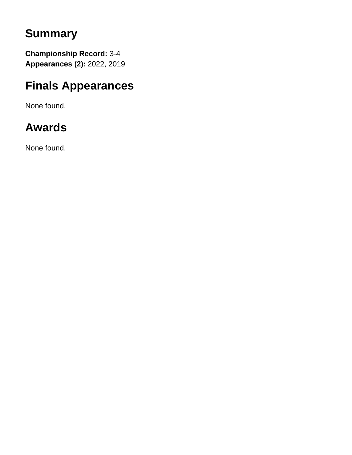## **Summary**

**Championship Record:** 3-4 **Appearances (2):** 2022, 2019

## **Finals Appearances**

None found.

# **Awards**

None found.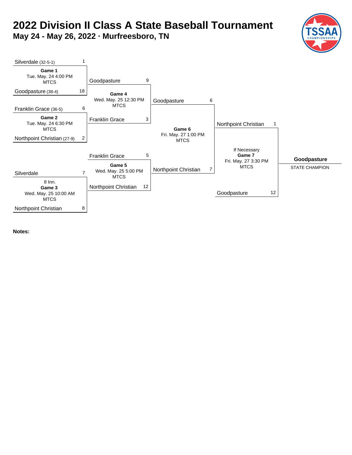# **2022 Division II Class A State Baseball Tournament**

**May 24 - May 26, 2022 · Murfreesboro, TN**



**Notes:**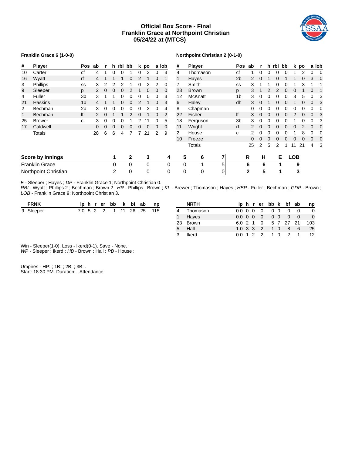## **Official Box Score - Final Franklin Grace at Northpoint Christian 05/24/22 at (MTCS)**



## **Franklin Grace 6 (1-0-0)**

#### **Northpoint Christian 2 (0-1-0)**

| #  | <b>Player</b>           | <b>Pos</b>     | ab | r |   | h rbi bb |          |   | k po |          | a lob | #              | <b>Player</b> |   | <b>Pos</b>     | ab           | r |   |   | h rbi bb |            | k po |   | a lob    |
|----|-------------------------|----------------|----|---|---|----------|----------|---|------|----------|-------|----------------|---------------|---|----------------|--------------|---|---|---|----------|------------|------|---|----------|
| 10 | Carter                  | сf             | 4  |   | 0 | 0        |          | 0 | 2    | 0        | 3     | 4              | Thomason      |   | сf             | 1            | 0 |   | 0 | 0        |            |      | 0 |          |
| 16 | Wyatt                   | rf             | 4  |   |   |          | $\Omega$ | 2 |      | 0        |       | 1              | Hayes         |   | 2 <sub>b</sub> | 2            |   |   | 0 |          |            | 0    | 3 | $\Omega$ |
| 3  | Phillips                | SS             | 3  | 2 |   |          |          |   |      |          | 0     |                | Smith         |   | SS             | 3            |   |   | 0 |          |            | 3    |   |          |
| 9  | Sleeper                 | p              |    | 0 | 0 | 0        |          |   | 0    | 0        | 0     | 23             | <b>Brown</b>  |   | p              | 3            |   |   |   | 0        |            |      | 0 |          |
| 4  | Fuller                  | 3b             | 3  |   |   |          |          |   | 0    | 0        | 3     | 12             | McKnatt       |   | 1b             | 3            |   |   |   |          |            | 5    | 0 |          |
| 21 | <b>Haskins</b>          | 1 <sub>b</sub> |    |   |   |          |          |   |      | 0        | 3     | 6              | Haley         |   | dh             | 3            |   |   |   |          |            | 0    | 0 |          |
| 2  | Bechman                 | 2b             | 3  | 0 | Ω | 0        |          |   | 3    |          | 4     | 8              | Chapman       |   |                | 0            |   |   |   |          |            |      | ი |          |
| 1  | <b>Bechman</b>          | lf             |    | 0 |   |          |          |   |      | $\Omega$ | 2     | 22             | Fisher        |   | lf             | 3            |   |   |   |          |            |      | 0 |          |
| 25 | <b>Brewer</b>           | C              | 3  | 0 | O | 0        |          |   |      |          | 5     | 18             | Ferguson      |   | 3 <sub>b</sub> | 3            |   |   |   |          |            |      | ი |          |
| 17 | Caldwell                |                | 0  | 0 | 0 | 0        |          | 0 | 0    | 0        | 0     | 11             | Wright        |   | rf             | 2            |   |   |   |          |            |      | 0 |          |
|    | <b>Totals</b>           |                | 28 | 6 | 6 | 4        |          |   | 21   | 2        | 9     | $\overline{2}$ | House         |   | с              | 2            |   |   |   |          |            | 8    | ი |          |
|    |                         |                |    |   |   |          |          |   |      |          |       | 10             | Freeze        |   |                | 0            | 0 |   | 0 |          |            | 0    | 0 |          |
|    |                         |                |    |   |   |          |          |   |      |          |       |                | <b>Totals</b> |   |                | 25           | 2 | 5 | 2 |          | 11         | 21   | 4 |          |
|    | <b>Score by Innings</b> |                |    |   | 1 |          | 2        |   | 3    |          | 4     | 5              | 6             | 7 |                | R            | н |   | Е |          | <b>LOB</b> |      |   |          |
|    | <b>Franklin Grace</b>   |                |    |   | 0 |          | 0        |   | 0    |          | 0     | 0              |               | 5 |                | 6            | 6 |   | 1 |          | 9          |      |   |          |
|    | Northpoint Christian    |                |    |   | 2 |          | 0        |   | 0    |          | 0     | 0              | 0             | 0 |                | $\mathbf{2}$ | 5 |   | 1 |          | 3          |      |   |          |

*E* - Sleeper ; Hayes ; *DP* - Franklin Grace 1; Northpoint Christian 0.

*RBI* - Wyatt ; Phillips 2 ; Bechman ; Brown 2 ; *HR* - Phillips ; Brown ; *KL* - Brewer ; Thomason ; Hayes ; *HBP* - Fuller ; Bechman ; *GDP* - Brown ; *LOB* - Franklin Grace 9; Northpoint Christian 3.

| <b>FRNK</b> |  |  | iphrerbb k bf ab     |  | np    |              | <b>NRTH</b> |                   |  |  | iphrerbbk bfab    | np                       |
|-------------|--|--|----------------------|--|-------|--------------|-------------|-------------------|--|--|-------------------|--------------------------|
| 9 Sleeper   |  |  | 7.0 5 2 2 1 11 26 25 |  | - 115 |              | Thomason    |                   |  |  |                   | $\overline{\phantom{0}}$ |
|             |  |  |                      |  |       | $\mathbf{1}$ | Haves       |                   |  |  |                   | $\overline{\phantom{0}}$ |
|             |  |  |                      |  |       |              | 23 Brown    |                   |  |  |                   | 6.0 2 1 0 5 7 27 21 103  |
|             |  |  |                      |  |       |              | 5 Hall      |                   |  |  | 1.0 3 3 2 1 0 8 6 | - 25                     |
|             |  |  |                      |  |       |              | Ikerd       | $0.0 \t1 \t2 \t2$ |  |  |                   | 1 0 2 1 12               |

Win - Sleeper(1-0). Loss - Ikerd(0-1). Save - None.

*WP* - Sleeper ; Ikerd ; *HB* - Brown ; Hall ; *PB* - House ;

Umpires - HP: ; 1B: ; 2B: ; 3B: . Start: 18:30 PM. Duration: . Attendance: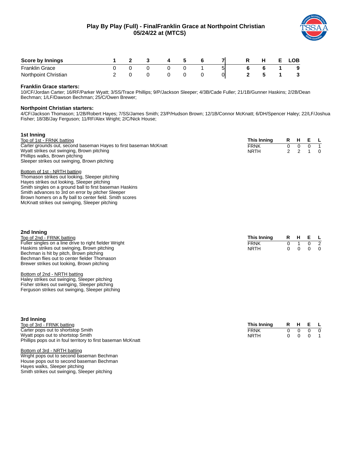## **Play By Play (Full) - FinalFranklin Grace at Northpoint Christian 05/24/22 at (MTCS)**



| <b>Score by Innings</b> |  |  |   |    |  | .OB |
|-------------------------|--|--|---|----|--|-----|
| <b>Franklin Grace</b>   |  |  | - | יכ |  | 9   |
| Northpoint Christian    |  |  |   |    |  |     |

## **Franklin Grace starters:**

10/CF/Jordan Carter; 16/RF/Parker Wyatt; 3/SS/Trace Phillips; 9/P/Jackson Sleeper; 4/3B/Cade Fuller; 21/1B/Gunner Haskins; 2/2B/Dean Bechman; 1/LF/Dawson Bechman; 25/C/Owen Brewer;

#### **Northpoint Christian starters:**

4/CF/Jackson Thomason; 1/2B/Robert Hayes; 7/SS/James Smith; 23/P/Hudson Brown; 12/1B/Connor McKnatt; 6/DH/Spencer Haley; 22/LF/Joshua Fisher; 18/3B/Jay Ferguson; 11/RF/Alex Wright; 2/C/Nick House;

| 1st Inning                                                        |             |    |   |          |
|-------------------------------------------------------------------|-------------|----|---|----------|
| Top of 1st - FRNK batting                                         | This Inning | R. | H | E L      |
| Carter grounds out, second baseman Hayes to first baseman McKnatt | <b>FRNK</b> |    |   |          |
| Wyatt strikes out swinging, Brown pitching                        | <b>NRTH</b> |    |   | $\Omega$ |
| Phillips walks, Brown pitching                                    |             |    |   |          |
| Sleeper strikes out swinging, Brown pitching                      |             |    |   |          |
| Bottom of 1st - NRTH batting                                      |             |    |   |          |
| Thomason strikes out looking, Sleeper pitching                    |             |    |   |          |
| Hayes strikes out looking, Sleeper pitching                       |             |    |   |          |
| Smith singles on a ground ball to first baseman Haskins           |             |    |   |          |

Smith advances to 3rd on error by pitcher Sleeper Brown homers on a fly ball to center field. Smith scores McKnatt strikes out swinging, Sleeper pitching

| 2nd Inning                                             |             |  |                          |  |
|--------------------------------------------------------|-------------|--|--------------------------|--|
| Top of 2nd - FRNK batting                              | This Innina |  | R H E L                  |  |
| Fuller singles on a line drive to right fielder Wright | <b>FRNK</b> |  | 0 1 0 2                  |  |
| Haskins strikes out swinging, Brown pitching           | <b>NRTH</b> |  | $0\quad 0\quad 0\quad 0$ |  |
| Bechman is hit by pitch, Brown pitching                |             |  |                          |  |
| Bechman flies out to center fielder Thomason           |             |  |                          |  |

#### Bottom of 2nd - NRTH batting

Haley strikes out swinging, Sleeper pitching Fisher strikes out swinging, Sleeper pitching Ferguson strikes out swinging, Sleeper pitching

Brewer strikes out looking, Brown pitching

| 3rd Inning                                                   |             |  |  |         |                |  |  |  |  |  |  |
|--------------------------------------------------------------|-------------|--|--|---------|----------------|--|--|--|--|--|--|
| Top of 3rd - FRNK batting                                    | This Inning |  |  | R H E L |                |  |  |  |  |  |  |
| Carter pops out to shortstop Smith                           | <b>FRNK</b> |  |  |         | $\overline{0}$ |  |  |  |  |  |  |
| Wyatt pops out to shortstop Smith                            | <b>NRTH</b> |  |  |         |                |  |  |  |  |  |  |
| Phillips pops out in foul territory to first baseman McKnatt |             |  |  |         |                |  |  |  |  |  |  |

Bottom of 3rd - NRTH batting Wright pops out to second baseman Bechman House pops out to second baseman Bechman Hayes walks, Sleeper pitching Smith strikes out swinging, Sleeper pitching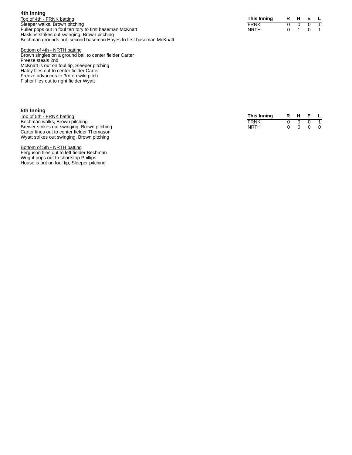| 4th Inning                                                         |             |
|--------------------------------------------------------------------|-------------|
| Top of 4th - FRNK batting                                          | This Inn    |
| Sleeper walks, Brown pitching                                      | <b>FRNK</b> |
| Fuller pops out in foul territory to first baseman McKnatt         | <b>NRTH</b> |
| Haskins strikes out swinging, Brown pitching                       |             |
| Bechman grounds out, second baseman Hayes to first baseman McKnatt |             |

| This Inning | R | н |  |
|-------------|---|---|--|
| FRNK        |   |   |  |
| NRTH        |   |   |  |

Bottom of 4th - NRTH batting Brown singles on a ground ball to center fielder Carter Freeze steals 2nd McKnatt is out on foul tip, Sleeper pitching Haley flies out to center fielder Carter Freeze advances to 3rd on wild pitch Fisher flies out to right fielder Wyatt

| 5th Inning                                  |             |   |         |                |
|---------------------------------------------|-------------|---|---------|----------------|
| Top of 5th - FRNK batting                   | This Inning |   | R H E L |                |
| Bechman walks, Brown pitching               | FRNK        | n |         |                |
| Brewer strikes out swinging, Brown pitching | <b>NRTH</b> |   |         | $\overline{0}$ |
| Carter lines out to center fielder Thomason |             |   |         |                |
| Wyatt strikes out swinging, Brown pitching  |             |   |         |                |

Bottom of 5th - NRTH batting Ferguson flies out to left fielder Bechman Wright pops out to shortstop Phillips House is out on foul tip, Sleeper pitching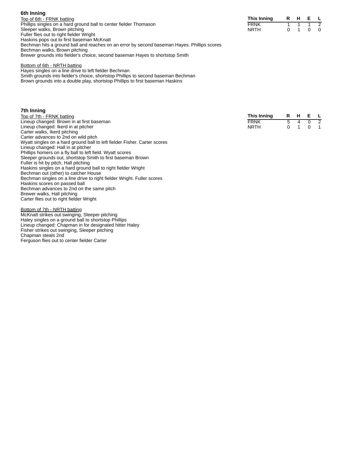| 6th Inning                                                                                  |             |   |         |             |
|---------------------------------------------------------------------------------------------|-------------|---|---------|-------------|
| Top of 6th - FRNK batting                                                                   | This Inning |   | R H E L |             |
| Phillips singles on a hard ground ball to center fielder Thomason                           | <b>FRNK</b> |   |         | $1 \quad 2$ |
| Sleeper walks, Brown pitching                                                               | <b>NRTH</b> | 0 |         | $0\quad 0$  |
| Fuller flies out to right fielder Wright                                                    |             |   |         |             |
| Haskins pops out to first baseman McKnatt                                                   |             |   |         |             |
| Bechman hits a ground ball and reaches on an error by second baseman Hayes. Phillips scores |             |   |         |             |
| Bechman walks, Brown pitching                                                               |             |   |         |             |
| Brewer grounds into fielder's choice, second baseman Hayes to shortstop Smith               |             |   |         |             |

## Bottom of 6th - NRTH batting

Hayes singles on a line drive to left fielder Bechman Smith grounds into fielder's choice, shortstop Phillips to second baseman Bechman Brown grounds into a double play, shortstop Phillips to first baseman Haskins

## **7th Inning**

| Top of 7th - FRNK batting                 | This Innina | R H E L |  |
|-------------------------------------------|-------------|---------|--|
| Lineup changed: Brown in at first baseman | <b>FRNK</b> | 5 4 0 2 |  |
| Lineup changed: Ikerd in at pitcher       | <b>NRTH</b> | 0 1 0 1 |  |
| Carter walks, Ikerd pitching              |             |         |  |
| Cortor advances to 2nd on wild pitch      |             |         |  |

Carter advances to 2nd on wild pitch Wyatt singles on a hard ground ball to left fielder Fisher. Carter scores Lineup changed: Hall in at pitcher Phillips homers on a fly ball to left field. Wyatt scores Sleeper grounds out, shortstop Smith to first baseman Brown Fuller is hit by pitch, Hall pitching Haskins singles on a hard ground ball to right fielder Wright Bechman out (other) to catcher House Bechman singles on a line drive to right fielder Wright. Fuller scores Haskins scores on passed ball Bechman advances to 2nd on the same pitch Brewer walks, Hall pitching Carter flies out to right fielder Wright

## Bottom of 7th - NRTH batting

McKnatt strikes out swinging, Sleeper pitching Haley singles on a ground ball to shortstop Phillips Lineup changed: Chapman in for designated hitter Haley Fisher strikes out swinging, Sleeper pitching Chapman steals 2nd Ferguson flies out to center fielder Carter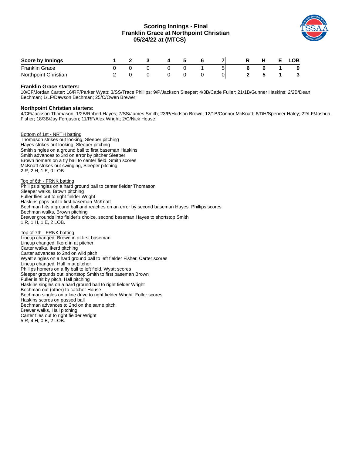## **Scoring Innings - Final Franklin Grace at Northpoint Christian 05/24/22 at (MTCS)**



| <b>Score by Innings</b> |  |  |    |   |  | _OB . |
|-------------------------|--|--|----|---|--|-------|
| <b>Franklin Grace</b>   |  |  | -- | ы |  | 9     |
| Northpoint Christian    |  |  |    | 0 |  |       |

## **Franklin Grace starters:**

10/CF/Jordan Carter; 16/RF/Parker Wyatt; 3/SS/Trace Phillips; 9/P/Jackson Sleeper; 4/3B/Cade Fuller; 21/1B/Gunner Haskins; 2/2B/Dean Bechman; 1/LF/Dawson Bechman; 25/C/Owen Brewer;

## **Northpoint Christian starters:**

4/CF/Jackson Thomason; 1/2B/Robert Hayes; 7/SS/James Smith; 23/P/Hudson Brown; 12/1B/Connor McKnatt; 6/DH/Spencer Haley; 22/LF/Joshua Fisher; 18/3B/Jay Ferguson; 11/RF/Alex Wright; 2/C/Nick House;

Bottom of 1st - NRTH batting Thomason strikes out looking, Sleeper pitching Hayes strikes out looking, Sleeper pitching Smith singles on a ground ball to first baseman Haskins Smith advances to 3rd on error by pitcher Sleeper Brown homers on a fly ball to center field. Smith scores McKnatt strikes out swinging, Sleeper pitching 2 R, 2 H, 1 E, 0 LOB.

Top of 6th - FRNK batting Phillips singles on a hard ground ball to center fielder Thomason Sleeper walks, Brown pitching Fuller flies out to right fielder Wright Haskins pops out to first baseman McKnatt Bechman hits a ground ball and reaches on an error by second baseman Hayes. Phillips scores Bechman walks, Brown pitching Brewer grounds into fielder's choice, second baseman Hayes to shortstop Smith 1 R, 1 H, 1 E, 2 LOB.

Top of 7th - FRNK batting Lineup changed: Brown in at first baseman Lineup changed: Ikerd in at pitcher Carter walks, Ikerd pitching Carter advances to 2nd on wild pitch Wyatt singles on a hard ground ball to left fielder Fisher. Carter scores Lineup changed: Hall in at pitcher Phillips homers on a fly ball to left field. Wyatt scores Sleeper grounds out, shortstop Smith to first baseman Brown Fuller is hit by pitch, Hall pitching Haskins singles on a hard ground ball to right fielder Wright Bechman out (other) to catcher House Bechman singles on a line drive to right fielder Wright. Fuller scores Haskins scores on passed ball Bechman advances to 2nd on the same pitch Brewer walks, Hall pitching Carter flies out to right fielder Wright 5 R, 4 H, 0 E, 2 LOB.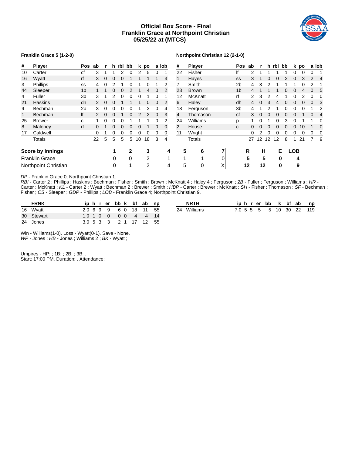## **Official Box Score - Final Franklin Grace at Northpoint Christian 05/25/22 at (MTCS)**



#### **Franklin Grace 5 (1-2-0)**

#### **Northpoint Christian 12 (2-1-0)**

| #  | Player                  | Pos ab         |    | r |   | h rbi bb |          |    | k po | a lob    |          | #  | <b>Player</b> |   | Pos ab         |    | r        |              | h rbi bb |              |            | k po | a lob |          |
|----|-------------------------|----------------|----|---|---|----------|----------|----|------|----------|----------|----|---------------|---|----------------|----|----------|--------------|----------|--------------|------------|------|-------|----------|
| 10 | Carter                  | сf             | 3  |   |   |          |          |    | 5    | 0        |          | 22 | Fisher        |   | lf             | 2  |          |              |          |              |            |      | 0     |          |
| 16 | Wyatt                   | rf             | 3  | 0 |   | 0        |          |    |      |          | 3        | 1  | Hayes         |   | SS             | 3  |          |              |          |              |            |      | 2     | 4        |
| 3  | Phillips                | SS             |    | 0 |   |          |          |    |      |          |          |    | Smith         |   | 2b             | 4  |          |              |          |              |            |      |       |          |
| 44 | Sleeper                 | 1 <sub>b</sub> |    |   |   | 0        |          |    | 4    | 0        | 2        | 23 | <b>Brown</b>  |   | 1 <sub>b</sub> | 4  |          |              |          |              |            |      | 0     | 5        |
| 4  | Fuller                  | 3 <sub>b</sub> | 3. |   |   |          |          |    |      | 0        |          | 12 | McKnatt       |   | rf             |    | 3        |              |          |              |            |      |       |          |
| 21 | <b>Haskins</b>          | dh             |    | 0 | 0 |          |          |    | 0    | 0        | 2        | 6  | Haley         |   | dh             | 4  | 0        | 3            | 4        | $\mathbf{U}$ | 0          | 0    | 0     |          |
| 9  | Bechman                 | 2 <sub>b</sub> | 3  | 0 | 0 | 0        | $\Omega$ |    | 3    | 0        | 4        | 18 | Ferguson      |   | 3 <sub>b</sub> | 4  |          |              |          |              |            |      |       |          |
| 1  | <b>Bechman</b>          | lf             |    | 0 | 0 |          | 0        |    | 2    | 0        | 3        | 4  | Thomason      |   | cf             | 3  | $\Omega$ | <sup>0</sup> | 0        |              |            |      | 0     | 4        |
| 25 | Brewer                  | C              |    |   |   |          |          |    |      |          |          | 24 | Williams      |   | р              |    |          |              |          | 3            |            |      |       |          |
| 8  | Maloney                 | rf             | O. |   |   | 0        |          |    |      | $\Omega$ | $\Omega$ | 2  | House         |   | C              | 0  |          |              |          |              |            | 10   |       |          |
| 17 | Caldwell                |                | 0  |   | 0 | 0        | 0        | 0  | 0    | 0        | 0        | 11 | Wright        |   |                | 0  |          |              |          |              | 0          | 0    | 0     | $\Omega$ |
|    | <b>Totals</b>           |                | 22 | 5 | 5 | 5        | 5        | 10 | 18   | 3        | 4        |    | <b>Totals</b> |   |                | 27 | 12       | 12           | 12       | 8            |            | 21   |       | 9        |
|    | <b>Score by Innings</b> |                |    |   |   |          | 2        |    | 3    |          | 4        | 5  | 6             | 7 |                | R  | н        |              | Е        |              | <b>LOB</b> |      |       |          |
|    | <b>Franklin Grace</b>   |                |    |   | 0 |          | 0        |    | 2    |          | 1        | 1  | $\mathbf{I}$  | 0 |                | 5  | 5        |              | 0        |              | 4          |      |       |          |
|    | Northpoint Christian    |                |    |   | 0 |          |          |    | 2    |          | 4        | 5  | 0             | X |                | 12 | 12       |              | 0        |              | 9          |      |       |          |

*DP* - Franklin Grace 0; Northpoint Christian 1.

*RBI* - Carter 2 ; Phillips ; Haskins ; Bechman ; Fisher ; Smith ; Brown ; McKnatt 4 ; Haley 4 ; Ferguson ; *2B* - Fuller ; Ferguson ; Williams ; *HR* - Carter ; McKnatt ; *KL* - Carter 2 ; Wyatt ; Bechman 2 ; Brewer ; Smith ; *HBP* - Carter ; Brewer ; McKnatt ; *SH* - Fisher ; Thomason ; *SF* - Bechman ; Fisher ; *CS* - Sleeper ; *GDP* - Phillips ; *LOB* - Franklin Grace 4; Northpoint Christian 9.

| <b>FRNK</b> |  |  |  | iphrerbbk bfab np      |  |
|-------------|--|--|--|------------------------|--|
| 16 Wyatt    |  |  |  | 2.0 6 9 9 6 0 18 11 55 |  |
| 30 Stewart  |  |  |  | 1.0 1 0 0 0 0 4 4 14   |  |
| 24 Jones    |  |  |  | 3.0 5 3 3 2 1 17 12 55 |  |

| <b>NRTH</b> |  |  |  |  | iphrerbb k bf ab np      |
|-------------|--|--|--|--|--------------------------|
| 24 Williams |  |  |  |  | 7.0 5 5 5 5 10 30 22 119 |

Win - Williams(1-0). Loss - Wyatt(0-1). Save - None. *WP* - Jones; *HB* - Jones; Williams 2; *BK* - Wyatt;

Umpires - HP: ; 1B: ; 2B: ; 3B: . Start: 17:00 PM. Duration: . Attendance: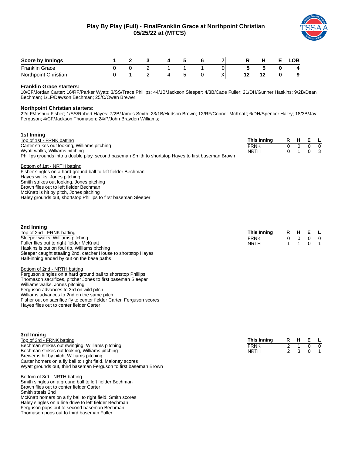## **Play By Play (Full) - FinalFranklin Grace at Northpoint Christian 05/25/22 at (MTCS)**



| <b>Score by Innings</b> |  |  |   |   |  | ЮB |
|-------------------------|--|--|---|---|--|----|
| <b>Franklin Grace</b>   |  |  | - |   |  |    |
| Northpoint Christian    |  |  |   | ⋏ |  | 9  |

## **Franklin Grace starters:**

10/CF/Jordan Carter; 16/RF/Parker Wyatt; 3/SS/Trace Phillips; 44/1B/Jackson Sleeper; 4/3B/Cade Fuller; 21/DH/Gunner Haskins; 9/2B/Dean Bechman; 1/LF/Dawson Bechman; 25/C/Owen Brewer;

## **Northpoint Christian starters:**

22/LF/Joshua Fisher; 1/SS/Robert Hayes; 7/2B/James Smith; 23/1B/Hudson Brown; 12/RF/Connor McKnatt; 6/DH/Spencer Haley; 18/3B/Jay Ferguson; 4/CF/Jackson Thomason; 24/P/John Brayden Williams;

| 1st Inning                                                                                          |             |   |     |     |                |
|-----------------------------------------------------------------------------------------------------|-------------|---|-----|-----|----------------|
| Top of 1st - FRNK batting                                                                           | This Inning |   | R H | E L |                |
| Carter strikes out looking, Williams pitching                                                       | <b>FRNK</b> | 0 |     |     | $\overline{0}$ |
| Wyatt walks, Williams pitching                                                                      | <b>NRTH</b> | 0 |     | 0   | - 3            |
| Phillips grounds into a double play, second baseman Smith to shortstop Hayes to first baseman Brown |             |   |     |     |                |
| Bottom of 1st - NRTH batting                                                                        |             |   |     |     |                |
| Fisher singles on a hard ground ball to left fielder Bechman                                        |             |   |     |     |                |
| Hayes walks, Jones pitching                                                                         |             |   |     |     |                |
| Smith strikes out looking, Jones pitching                                                           |             |   |     |     |                |
| Brown flies out to left fielder Bechman                                                             |             |   |     |     |                |
| McKnatt is hit by pitch, Jones pitching                                                             |             |   |     |     |                |
| Haley grounds out, shortstop Phillips to first baseman Sleeper                                      |             |   |     |     |                |
|                                                                                                     |             |   |     |     |                |

| 2nd Inning                                                    |             |         |            |  |
|---------------------------------------------------------------|-------------|---------|------------|--|
| Top of 2nd - FRNK batting                                     | This Inning | R H E L |            |  |
| Sleeper walks, Williams pitching                              | <b>FRNK</b> | n n     | $0\quad 0$ |  |
| Fuller flies out to right fielder McKnatt                     | <b>NRTH</b> | 1 1 0 1 |            |  |
| Haskins is out on foul tip, Williams pitching                 |             |         |            |  |
| Sleeper caught stealing 2nd, catcher House to shortstop Hayes |             |         |            |  |
| Half-inning ended by out on the base paths                    |             |         |            |  |

#### Bottom of 2nd - NRTH batting

Ferguson singles on a hard ground ball to shortstop Phillips Thomason sacrifices, pitcher Jones to first baseman Sleeper Williams walks, Jones pitching Ferguson advances to 3rd on wild pitch Williams advances to 2nd on the same pitch Fisher out on sacrifice fly to center fielder Carter. Ferguson scores Hayes flies out to center fielder Carter

| 3rd Inning                                                       |             |         |            |
|------------------------------------------------------------------|-------------|---------|------------|
| Top of 3rd - FRNK batting                                        | This Inning | R H E L |            |
| Bechman strikes out swinging, Williams pitching                  | <b>FRNK</b> |         | $0\quad 0$ |
| Bechman strikes out looking, Williams pitching                   | <b>NRTH</b> | 2 3 0 1 |            |
| Brewer is hit by pitch, Williams pitching                        |             |         |            |
| Carter homers on a fly ball to right field. Maloney scores       |             |         |            |
| Wyatt grounds out, third baseman Ferguson to first baseman Brown |             |         |            |

#### Bottom of 3rd - NRTH batting

Smith singles on a ground ball to left fielder Bechman Brown flies out to center fielder Carter Smith steals 2nd McKnatt homers on a fly ball to right field. Smith scores Haley singles on a line drive to left fielder Bechman Ferguson pops out to second baseman Bechman Thomason pops out to third baseman Fuller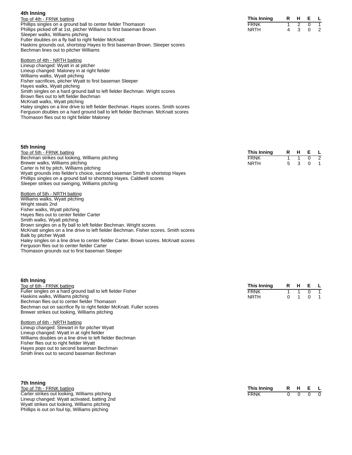| 4th Inning                                                          |             |  |         |  |
|---------------------------------------------------------------------|-------------|--|---------|--|
| Top of 4th - FRNK batting                                           | This Inning |  | R H E L |  |
| Phillips singles on a ground ball to center fielder Thomason        | FRNK        |  | 1 2 0 1 |  |
| Phillips picked off at 1st, pitcher Williams to first baseman Brown | <b>NRTH</b> |  | 4 3 0 2 |  |
| Sleeper walks, Williams pitching                                    |             |  |         |  |

Bottom of 4th - NRTH batting Lineup changed: Wyatt in at pitcher Lineup changed: Maloney in at right fielder Williams walks, Wyatt pitching Fisher sacrifices, pitcher Wyatt to first baseman Sleeper Hayes walks, Wyatt pitching Smith singles on a hard ground ball to left fielder Bechman. Wright scores Brown flies out to left fielder Bechman McKnatt walks, Wyatt pitching Haley singles on a line drive to left fielder Bechman. Hayes scores. Smith scores Ferguson doubles on a hard ground ball to left fielder Bechman. McKnatt scores Thomason flies out to right fielder Maloney

Haskins grounds out, shortstop Hayes to first baseman Brown. Sleeper scores

Fuller doubles on a fly ball to right fielder McKnatt

Bechman lines out to pitcher Williams

| 5th Inning |
|------------|
|            |

| Top of 5th - FRNK batting                                                    | This Inning |    | R H | E L |                |
|------------------------------------------------------------------------------|-------------|----|-----|-----|----------------|
| Bechman strikes out looking, Williams pitching                               | <b>FRNK</b> |    |     |     | $\overline{z}$ |
| Brewer walks, Williams pitching                                              | <b>NRTH</b> | 5. |     |     | $\overline{1}$ |
| Carter is hit by pitch, Williams pitching                                    |             |    |     |     |                |
| Wyatt grounds into fielder's choice, second baseman Smith to shortstop Haves |             |    |     |     |                |
| Phillips singles on a ground ball to shortstop Hayes. Caldwell scores        |             |    |     |     |                |
| Sleeper strikes out swinging, Williams pitching                              |             |    |     |     |                |
| Bottom of 5th - NRTH batting                                                 |             |    |     |     |                |

Williams walks, Wyatt pitching Wright steals 2nd Fisher walks, Wyatt pitching Hayes flies out to center fielder Carter Smith walks, Wyatt pitching Brown singles on a fly ball to left fielder Bechman. Wright scores McKnatt singles on a line drive to left fielder Bechman. Fisher scores. Smith scores Balk by pitcher Wyatt Haley singles on a line drive to center fielder Carter. Brown scores. McKnatt scores Ferguson flies out to center fielder Carter

Thomason grounds out to first baseman Sleeper

#### **6th Inning**

| Top of 6th - FRNK batting                                            | This Inning | R H E L |  |
|----------------------------------------------------------------------|-------------|---------|--|
| Fuller singles on a hard ground ball to left fielder Fisher          | <b>FRNK</b> | 1 1 0 1 |  |
| Haskins walks, Williams pitching                                     | <b>NRTH</b> | 0 1 0 1 |  |
| Bechman flies out to center fielder Thomason                         |             |         |  |
| Bechman out on sacrifice fly to right fielder McKnatt. Fuller scores |             |         |  |
| Brewer strikes out looking, Williams pitching                        |             |         |  |

## Bottom of 6th - NRTH batting

Lineup changed: Stewart in for pitcher Wyatt Lineup changed: Wyatt in at right fielder Williams doubles on a line drive to left fielder Bechman Fisher flies out to right fielder Wyatt Hayes pops out to second baseman Bechman Smith lines out to second baseman Bechman

#### **7th Inning** Top of 7th - FRNK batting Carter strikes out looking, Williams pitching Lineup changed: Wyatt activated, batting 2nd Wyatt strikes out looking, Williams pitching Phillips is out on foul tip, Williams pitching

| This Inning | н. |  |
|-------------|----|--|
| FRNK        |    |  |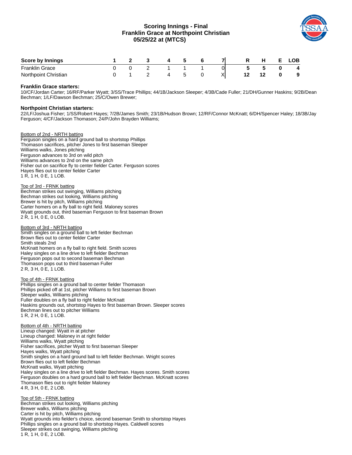## **Scoring Innings - Final Franklin Grace at Northpoint Christian 05/25/22 at (MTCS)**



| <b>Score by Innings</b> |  |  |  |    | н | _OB |
|-------------------------|--|--|--|----|---|-----|
| Franklin Grace          |  |  |  | 01 |   | 4   |
| Northpoint Christian    |  |  |  | X  |   | 9   |

## **Franklin Grace starters:**

10/CF/Jordan Carter; 16/RF/Parker Wyatt; 3/SS/Trace Phillips; 44/1B/Jackson Sleeper; 4/3B/Cade Fuller; 21/DH/Gunner Haskins; 9/2B/Dean Bechman; 1/LF/Dawson Bechman; 25/C/Owen Brewer;

#### **Northpoint Christian starters:**

22/LF/Joshua Fisher; 1/SS/Robert Hayes; 7/2B/James Smith; 23/1B/Hudson Brown; 12/RF/Connor McKnatt; 6/DH/Spencer Haley; 18/3B/Jay Ferguson; 4/CF/Jackson Thomason; 24/P/John Brayden Williams;

Bottom of 2nd - NRTH batting Ferguson singles on a hard ground ball to shortstop Phillips Thomason sacrifices, pitcher Jones to first baseman Sleeper Williams walks, Jones pitching Ferguson advances to 3rd on wild pitch Williams advances to 2nd on the same pitch Fisher out on sacrifice fly to center fielder Carter. Ferguson scores Hayes flies out to center fielder Carter 1 R, 1 H, 0 E, 1 LOB.

Top of 3rd - FRNK batting Bechman strikes out swinging, Williams pitching Bechman strikes out looking, Williams pitching Brewer is hit by pitch, Williams pitching Carter homers on a fly ball to right field. Maloney scores Wyatt grounds out, third baseman Ferguson to first baseman Brown 2 R, 1 H, 0 E, 0 LOB.

#### Bottom of 3rd - NRTH batting

Smith singles on a ground ball to left fielder Bechman Brown flies out to center fielder Carter Smith steals 2nd McKnatt homers on a fly ball to right field. Smith scores Haley singles on a line drive to left fielder Bechman Ferguson pops out to second baseman Bechman Thomason pops out to third baseman Fuller 2 R, 3 H, 0 E, 1 LOB.

Top of 4th - FRNK batting

Phillips singles on a ground ball to center fielder Thomason Phillips picked off at 1st, pitcher Williams to first baseman Brown Sleeper walks, Williams pitching Fuller doubles on a fly ball to right fielder McKnatt Haskins grounds out, shortstop Hayes to first baseman Brown. Sleeper scores Bechman lines out to pitcher Williams 1 R, 2 H, 0 E, 1 LOB.

Bottom of 4th - NRTH batting Lineup changed: Wyatt in at pitcher Lineup changed: Maloney in at right fielder Williams walks, Wyatt pitching Fisher sacrifices, pitcher Wyatt to first baseman Sleeper Hayes walks, Wyatt pitching Smith singles on a hard ground ball to left fielder Bechman. Wright scores Brown flies out to left fielder Bechman McKnatt walks, Wyatt pitching Haley singles on a line drive to left fielder Bechman. Hayes scores. Smith scores Ferguson doubles on a hard ground ball to left fielder Bechman. McKnatt scores Thomason flies out to right fielder Maloney 4 R, 3 H, 0 E, 2 LOB.

Top of 5th - FRNK batting Bechman strikes out looking, Williams pitching Brewer walks, Williams pitching Carter is hit by pitch, Williams pitching Wyatt grounds into fielder's choice, second baseman Smith to shortstop Hayes Phillips singles on a ground ball to shortstop Hayes. Caldwell scores Sleeper strikes out swinging, Williams pitching 1 R, 1 H, 0 E, 2 LOB.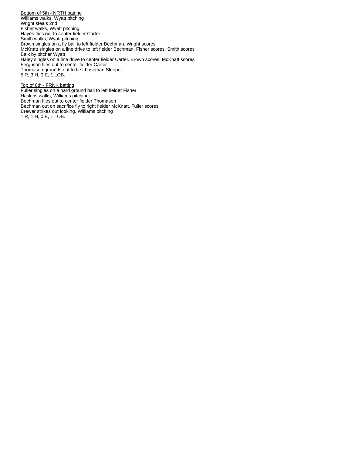Bottom of 5th - NRTH batting Williams walks, Wyatt pitching Wright steals 2nd Fisher walks, Wyatt pitching Hayes flies out to center fielder Carter Smith walks, Wyatt pitching Brown singles on a fly ball to left fielder Bechman. Wright scores McKnatt singles on a line drive to left fielder Bechman. Fisher scores. Smith scores Balk by pitcher Wyatt Haley singles on a line drive to center fielder Carter. Brown scores. McKnatt scores Ferguson flies out to center fielder Carter Thomason grounds out to first baseman Sleeper 5 R, 3 H, 0 E, 1 LOB.

Top of 6th - FRNK batting Fuller singles on a hard ground ball to left fielder Fisher Haskins walks, Williams pitching Bechman flies out to center fielder Thomason Bechman out on sacrifice fly to right fielder McKnatt. Fuller scores Brewer strikes out looking, Williams pitching 1 R, 1 H, 0 E, 1 LOB.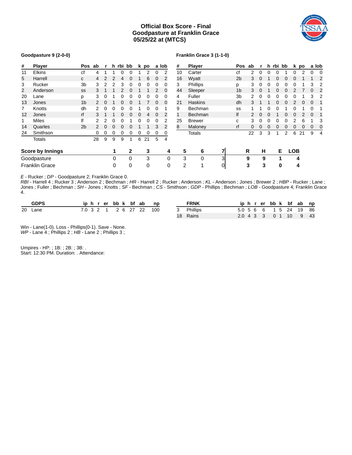## **Official Box Score - Final Goodpasture at Franklin Grace 05/25/22 at (MTCS)**



#### **Goodpasture 9 (2-0-0)**

## **Franklin Grace 3 (1-1-0)**

| #              | <b>Player</b>           | Pos            | ab |          |          | h rbi bb |   |   | k po |          | a lob          | #  | Player         |   | Pos            | ab |          | h. | rbi bb |   |            | k po | a lob |   |
|----------------|-------------------------|----------------|----|----------|----------|----------|---|---|------|----------|----------------|----|----------------|---|----------------|----|----------|----|--------|---|------------|------|-------|---|
| 11             | <b>Elkins</b>           | сf             | 4  |          |          | 0        | 0 |   | 2    | 0        | $\overline{2}$ | 10 | Carter         |   | сf             | 2  |          |    |        |   |            |      | 0     |   |
| 5              | Harrell                 | C              | 4  |          | 2        | 4        | 0 |   | 6    | 0        | 2              | 16 | Wyatt          |   | 2 <sub>b</sub> | 3  | $\Omega$ |    | 0      | 0 | 0          |      |       |   |
| 3              | Rucker                  | 3b             | 3  |          |          | 3        | 0 |   |      | 0        |                | 3  | Phillips       |   | р              | 3  |          |    | o      | 0 |            |      | 3     |   |
| $\overline{2}$ | Anderson                | SS             | 3  |          |          |          |   |   |      |          | 0              | 44 | Sleeper        |   | 1 <sub>b</sub> | 3  |          |    |        |   |            |      | 0     |   |
| 20             | Lane                    | Ŋ              | 3  | 0        |          |          | 0 |   |      | 0        | $\Omega$       | 4  | Fuller         |   | 3b             | 2  |          |    |        |   |            |      | 3     |   |
| 13             | Jones                   | 1 <sub>b</sub> |    | $\Omega$ |          | O        | O |   |      | 0        | 0              | 21 | <b>Haskins</b> |   | dh             | 3  |          |    |        |   |            |      | 0     |   |
| 7              | Knotts                  | dh             |    | 0        |          |          |   |   |      | 0        |                | 9  | Bechman        |   | SS             |    |          |    |        |   |            |      |       |   |
| 12             | Jones                   | rf             | 3  |          |          | 0        | 0 |   |      | $\Omega$ | 2              | 1  | Bechman        |   | lf             |    | $\Omega$ |    |        | 0 | 0          |      | 0     |   |
| 1              | Miles                   | lf             |    |          | 0        | 0        |   |   | 0    | 0        |                | 25 | <b>Brewer</b>  |   | c              | 3  |          |    | 0      |   |            | 6    |       |   |
| 14             | <b>Quarles</b>          | 2 <sub>b</sub> | 2. | $\Omega$ | 0        | 0        | 0 |   |      | 3        | 2              | 8  | Maloney        |   | rf             | 0  | $\Omega$ | 0  | 0      | 0 | 0          | 0    | 0     | 0 |
| 24             | Smithson                |                | 0  | 0        | 0        | 0        | 0 | 0 | 0    | 0        | 0              |    | Totals         |   |                | 22 | 3        | 3  |        | 2 | 6          | 21   | 9     | 4 |
|                | <b>Totals</b>           |                | 28 | 9        | 9        | 9        |   | 6 | 21   | 5        | 4              |    |                |   |                |    |          |    |        |   |            |      |       |   |
|                | <b>Score by Innings</b> |                |    |          | 1        |          | 2 |   | 3    |          | 4              | 5  | 6              | 7 |                | R  | н        |    | Е      |   | <b>LOB</b> |      |       |   |
|                | Goodpasture             |                |    |          | $\Omega$ |          | 0 |   | 3    |          | 0              | 3  | $\Omega$       | 3 |                | 9  | 9        |    | 1      |   | 4          |      |       |   |
|                | Franklin Grace          |                |    |          | 0        |          | 0 |   | 0    |          | 0              | 2  | 1              | 0 |                | 3  | 3        |    | 0      |   | 4          |      |       |   |

*E* - Rucker ; *DP* - Goodpasture 2; Franklin Grace 0.

*RBI* - Harrell 4 ; Rucker 3 ; Anderson 2 ; Bechman ; *HR* - Harrell 2 ; Rucker ; Anderson ; *KL* - Anderson ; Jones ; Brewer 2 ; *HBP* - Rucker ; Lane ; Jones ; Fuller ; Bechman ; *SH* - Jones ; Knotts ; *SF* - Bechman ; *CS* - Smithson ; *GDP* - Phillips ; Bechman ; *LOB* - Goodpasture 4; Franklin Grace 4.

| <b>GDPS</b> |  |  |  |  | iphrerbbk bfab np       | <b>FRNK</b> |                        |  |  |  | iphrerbbk bfabnp |  |
|-------------|--|--|--|--|-------------------------|-------------|------------------------|--|--|--|------------------|--|
| 20 Lane     |  |  |  |  | 7.0 3 2 1 2 6 27 22 100 | 3 Phillips  | 5.0 5 6 6 1 5 24 19 86 |  |  |  |                  |  |
|             |  |  |  |  |                         | 18 Rains    | 2.0 4 3 3 0 1 10 9 43  |  |  |  |                  |  |

Win - Lane(1-0). Loss - Phillips(0-1). Save - None. *WP* - Lane 4; Phillips 2; *HB* - Lane 2; Phillips 3;

Umpires - HP: ; 1B: ; 2B: ; 3B: . Start: 12:30 PM. Duration: . Attendance: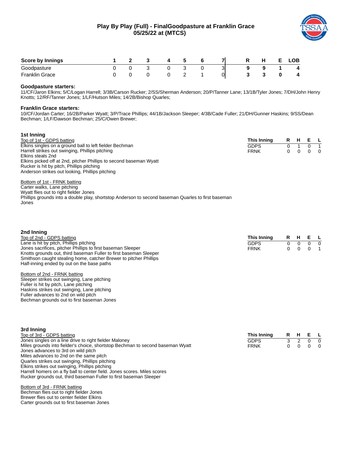## **Play By Play (Full) - FinalGoodpasture at Franklin Grace 05/25/22 at (MTCS)**



| <b>Score by Innings</b> |  |  |   |   |  | LOB. |
|-------------------------|--|--|---|---|--|------|
| Goodpasture             |  |  |   | ں |  | 4    |
| <b>Franklin Grace</b>   |  |  | - | 0 |  | 4    |

## **Goodpasture starters:**

11/CF/Jaron Elkins; 5/C/Logan Harrell; 3/3B/Carson Rucker; 2/SS/Sherman Anderson; 20/P/Tanner Lane; 13/1B/Tyler Jones; 7/DH/John Henry Knotts; 12/RF/Tanner Jones; 1/LF/Hutson Miles; 14/2B/Bishop Quarles;

## **Franklin Grace starters:**

Jones

**3rd Inning**

10/CF/Jordan Carter; 16/2B/Parker Wyatt; 3/P/Trace Phillips; 44/1B/Jackson Sleeper; 4/3B/Cade Fuller; 21/DH/Gunner Haskins; 9/SS/Dean Bechman; 1/LF/Dawson Bechman; 25/C/Owen Brewer;

| 1st Inning                                                                                         |             |    |          |   |     |
|----------------------------------------------------------------------------------------------------|-------------|----|----------|---|-----|
| Top of 1st - GDPS batting                                                                          | This Inning | R. | - H      |   | E L |
| Elkins singles on a ground ball to left fielder Bechman                                            | <b>GDPS</b> |    |          |   |     |
| Harrell strikes out swinging, Phillips pitching                                                    | <b>FRNK</b> | 0  | $\Omega$ | 0 | - 0 |
| Elkins steals 2nd                                                                                  |             |    |          |   |     |
| Elkins picked off at 2nd, pitcher Phillips to second baseman Wyatt                                 |             |    |          |   |     |
| Rucker is hit by pitch, Phillips pitching                                                          |             |    |          |   |     |
| Anderson strikes out looking, Phillips pitching                                                    |             |    |          |   |     |
| Bottom of 1st - FRNK batting                                                                       |             |    |          |   |     |
| Carter walks, Lane pitching                                                                        |             |    |          |   |     |
| Wyatt flies out to right fielder Jones                                                             |             |    |          |   |     |
| Phillips grounds into a double play, shortstop Anderson to second baseman Quarles to first baseman |             |    |          |   |     |

| 2nd Inning                                                                                                                                                                                                                                                |             |    |   |          |          |
|-----------------------------------------------------------------------------------------------------------------------------------------------------------------------------------------------------------------------------------------------------------|-------------|----|---|----------|----------|
| Top of 2nd - GDPS batting                                                                                                                                                                                                                                 | This Inning | R. | H | E L      |          |
| Lane is hit by pitch, Phillips pitching                                                                                                                                                                                                                   | <b>GDPS</b> | 0  | 0 | $\Omega$ | $\Omega$ |
| Jones sacrifices, pitcher Phillips to first baseman Sleeper                                                                                                                                                                                               | <b>FRNK</b> | 0  | 0 |          |          |
| Knotts grounds out, third baseman Fuller to first baseman Sleeper                                                                                                                                                                                         |             |    |   |          |          |
| Smithson caught stealing home, catcher Brewer to pitcher Phillips                                                                                                                                                                                         |             |    |   |          |          |
| Half-inning ended by out on the base paths                                                                                                                                                                                                                |             |    |   |          |          |
| Bottom of 2nd - FRNK batting<br>Sleeper strikes out swinging, Lane pitching<br>Fuller is hit by pitch, Lane pitching<br>Haskins strikes out swinging, Lane pitching<br>Fuller advances to 2nd on wild pitch<br>Bechman grounds out to first baseman Jones |             |    |   |          |          |

| <b>SIG INITING</b>                                                             |             |     |     |                |
|--------------------------------------------------------------------------------|-------------|-----|-----|----------------|
| Top of 3rd - GDPS batting                                                      | This Inning | R H | E L |                |
| Jones singles on a line drive to right fielder Maloney                         | <b>GDPS</b> |     |     | $\overline{0}$ |
| Miles grounds into fielder's choice, shortstop Bechman to second baseman Wyatt | <b>FRNK</b> |     |     | $\overline{0}$ |
| Jones advances to 3rd on wild pitch                                            |             |     |     |                |
| Miles advances to 2nd on the same pitch                                        |             |     |     |                |
| Quarles strikes out swinging, Phillips pitching                                |             |     |     |                |
| Elkins strikes out swinging, Phillips pitching                                 |             |     |     |                |
| Harrell homers on a fly ball to center field. Jones scores. Miles scores       |             |     |     |                |
| Rucker grounds out, third baseman Fuller to first baseman Sleeper              |             |     |     |                |
|                                                                                |             |     |     |                |

Bottom of 3rd - FRNK batting Bechman flies out to right fielder Jones Brewer flies out to center fielder Elkins Carter grounds out to first baseman Jones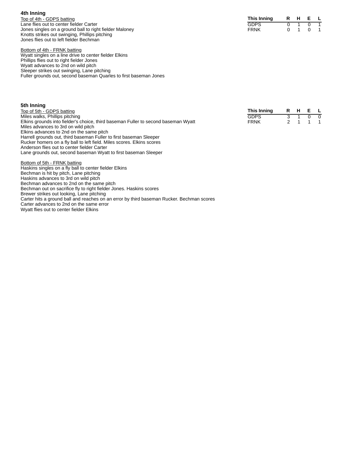| 4th Inning |
|------------|
|            |
|            |
|            |

Top of 4th - GDPS batting Lane flies out to center fielder Carter Jones singles on a ground ball to right fielder Maloney Knotts strikes out swinging, Phillips pitching Jones flies out to left fielder Bechman

Bottom of 4th - FRNK batting

Wyatt singles on a line drive to center fielder Elkins Phillips flies out to right fielder Jones Wyatt advances to 2nd on wild pitch Sleeper strikes out swinging, Lane pitching Fuller grounds out, second baseman Quarles to first baseman Jones

| 5th Inning |
|------------|
|            |

- Top of 5th GDPS batting Miles walks, Phillips pitching Elkins grounds into fielder's choice, third baseman Fuller to second baseman Wyatt Miles advances to 3rd on wild pitch Elkins advances to 2nd on the same pitch Harrell grounds out, third baseman Fuller to first baseman Sleeper Rucker homers on a fly ball to left field. Miles scores. Elkins scores Anderson flies out to center fielder Carter Lane grounds out, second baseman Wyatt to first baseman Sleeper
- Bottom of 5th FRNK batting Haskins singles on a fly ball to center fielder Elkins Bechman is hit by pitch, Lane pitching Haskins advances to 3rd on wild pitch Bechman advances to 2nd on the same pitch Bechman out on sacrifice fly to right fielder Jones. Haskins scores Brewer strikes out looking, Lane pitching Carter hits a ground ball and reaches on an error by third baseman Rucker. Bechman scores Carter advances to 2nd on the same error Wyatt flies out to center fielder Elkins

| This Inning | R | н |   |  |
|-------------|---|---|---|--|
| GDPS        |   |   |   |  |
| FRNK        |   |   | O |  |

**This Inning R H E L** GDPS 3 1 0 0<br>FRNK 2 1 1 1 FRNK 2 1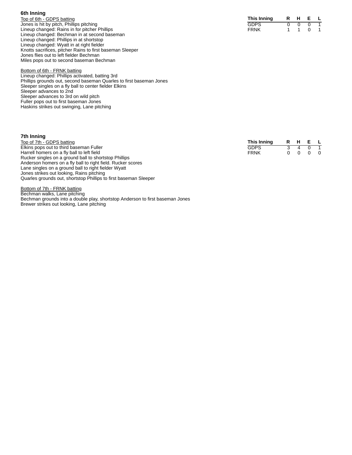| 6th Inning |
|------------|
|            |

Top of 6th - GDPS batting Jones is hit by pitch, Phillips pitching Lineup changed: Rains in for pitcher Phillips Lineup changed: Bechman in at second baseman Lineup changed: Phillips in at shortstop Lineup changed: Wyatt in at right fielder Knotts sacrifices, pitcher Rains to first baseman Sleeper Jones flies out to left fielder Bechman Miles pops out to second baseman Bechman

Bottom of 6th - FRNK batting

Lineup changed: Phillips activated, batting 3rd Phillips grounds out, second baseman Quarles to first baseman Jones Sleeper singles on a fly ball to center fielder Elkins Sleeper advances to 2nd Sleeper advances to 3rd on wild pitch Fuller pops out to first baseman Jones Haskins strikes out swinging, Lane pitching

#### **7 t h I n n i n g**

Top of 7th - GDPS batting Elkins pops out to third baseman Fuller Harrell homers on a fly ball to left field Rucker singles on a ground ball to shortstop Phillips Anderson homers on a fly ball to right field. Rucker scores Lane singles on a ground ball to right fielder Wyatt Jones strikes out looking, Rains pitching Quarles grounds out, shortstop Phillips to first baseman Sleeper **This Inning R H E** GDPS 3 4 0 FRNK 0 0 0

Bottom of 7th - FRNK batting Bechman walks, Lane pitching Bechman grounds into a double play, shortstop Anderson to first baseman Jones Brewer strikes out looking, Lane pitching

| This Inning | н |   |  |
|-------------|---|---|--|
| GDPS        |   |   |  |
| FRNK        |   | O |  |

| This Inning | R | н | F |   |
|-------------|---|---|---|---|
| GDPS        |   |   |   |   |
| FRNK        | n | O | O | O |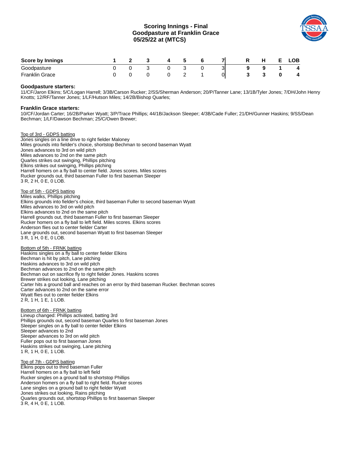## **Scoring Innings - Final Goodpasture at Franklin Grace 05/25/22 at (MTCS)**



| <b>Score by Innings</b> |  |  |   |   |    | . . |  | _OB .       |
|-------------------------|--|--|---|---|----|-----|--|-------------|
| Goodpasture             |  |  |   |   | اب |     |  | 4           |
| Franklin<br>Grace       |  |  | - | - | 01 |     |  | $\mathbf 4$ |

## **Goodpasture starters:**

11/CF/Jaron Elkins; 5/C/Logan Harrell; 3/3B/Carson Rucker; 2/SS/Sherman Anderson; 20/P/Tanner Lane; 13/1B/Tyler Jones; 7/DH/John Henry Knotts; 12/RF/Tanner Jones; 1/LF/Hutson Miles; 14/2B/Bishop Quarles;

#### **Franklin Grace starters:**

10/CF/Jordan Carter; 16/2B/Parker Wyatt; 3/P/Trace Phillips; 44/1B/Jackson Sleeper; 4/3B/Cade Fuller; 21/DH/Gunner Haskins; 9/SS/Dean Bechman; 1/LF/Dawson Bechman; 25/C/Owen Brewer;

Top of 3rd - GDPS batting Jones singles on a line drive to right fielder Maloney Miles grounds into fielder's choice, shortstop Bechman to second baseman Wyatt Jones advances to 3rd on wild pitch Miles advances to 2nd on the same pitch Quarles strikes out swinging, Phillips pitching Elkins strikes out swinging, Phillips pitching Harrell homers on a fly ball to center field. Jones scores. Miles scores Rucker grounds out, third baseman Fuller to first baseman Sleeper 3 R, 2 H, 0 E, 0 LOB.

Top of 5th - GDPS batting Miles walks, Phillips pitching Elkins grounds into fielder's choice, third baseman Fuller to second baseman Wyatt Miles advances to 3rd on wild pitch Elkins advances to 2nd on the same pitch Harrell grounds out, third baseman Fuller to first baseman Sleeper Rucker homers on a fly ball to left field. Miles scores. Elkins scores Anderson flies out to center fielder Carter Lane grounds out, second baseman Wyatt to first baseman Sleeper 3 R, 1 H, 0 E, 0 LOB.

Bottom of 5th - FRNK batting Haskins singles on a fly ball to center fielder Elkins Bechman is hit by pitch, Lane pitching Haskins advances to 3rd on wild pitch Bechman advances to 2nd on the same pitch Bechman out on sacrifice fly to right fielder Jones. Haskins scores Brewer strikes out looking, Lane pitching Carter hits a ground ball and reaches on an error by third baseman Rucker. Bechman scores Carter advances to 2nd on the same error Wyatt flies out to center fielder Elkins 2 R, 1 H, 1 E, 1 LOB.

Bottom of 6th - FRNK batting Lineup changed: Phillips activated, batting 3rd Phillips grounds out, second baseman Quarles to first baseman Jones Sleeper singles on a fly ball to center fielder Elkins Sleeper advances to 2nd Sleeper advances to 3rd on wild pitch Fuller pops out to first baseman Jones Haskins strikes out swinging, Lane pitching 1 R, 1 H, 0 E, 1 LOB.

Top of 7th - GDPS batting Elkins pops out to third baseman Fuller Harrell homers on a fly ball to left field Rucker singles on a ground ball to shortstop Phillips Anderson homers on a fly ball to right field. Rucker scores Lane singles on a ground ball to right fielder Wyatt Jones strikes out looking, Rains pitching Quarles grounds out, shortstop Phillips to first baseman Sleeper 3 R, 4 H, 0 E, 1 LOB.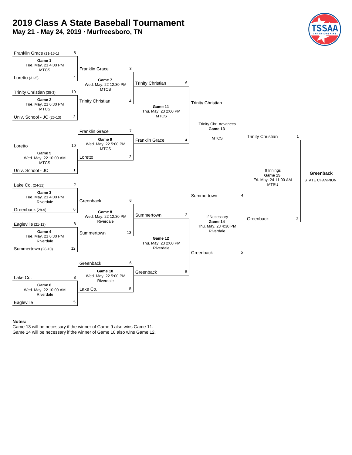## **2019 Class A State Baseball Tournament**

**May 21 - May 24, 2019 · Murfreesboro, TN**





#### **Notes:**

Game 13 will be necessary if the winner of Game 9 also wins Game 11. Game 14 will be necessary if the winner of Game 10 also wins Game 12.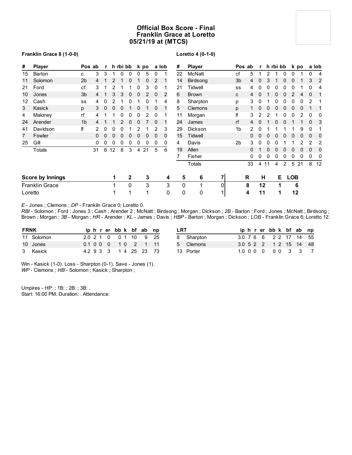## **Official Box Score - Final Franklin Grace at Loretto 05/21/19 at (MTCS)**

## **Franklin Grace 8 (1-0-0)**

## **Loretto 4 (0-1-0)**

| #       | <b>Player</b>           |                | Pos ab   | r            |    | h rbi bb |              |   | k po |          | a lob | #  | Player       |    |                | Pos ab | r        |          | h rbi bb |   |            | k po |             | a lob |
|---------|-------------------------|----------------|----------|--------------|----|----------|--------------|---|------|----------|-------|----|--------------|----|----------------|--------|----------|----------|----------|---|------------|------|-------------|-------|
| 15      | Barton                  | C              | 3        | 3            | 1  | 0        | 0            | 0 | 5    | 0        |       | 22 | McNatt       |    | сf             | 5      |          |          |          | 0 | 0          |      | 0           | 4     |
| 11      | Solomon                 | 2 <sub>b</sub> | 4        |              | 2  | 1        | 0            | 1 | 0    | 2        |       | 14 | Birdsong     |    | 3 <sub>b</sub> | 4      | 0        | 3        |          | 0 | 0          |      | 3           | 2     |
| 21      | Ford                    | cf             | 3        |              | 2  |          |              | 0 | 3    | 0        |       | 21 | Tidwell      |    | SS             | 4      | 0        |          |          |   | 0          |      |             | 4     |
| 10      | Jones                   | 3 <sub>b</sub> | 4        |              | 3  | 3        | 0            | 0 | 2    | 0        | 2     | 6  | <b>Brown</b> |    | C              | 4      | $\Omega$ |          |          |   | 2          |      | $\mathbf 0$ |       |
| 12      | Cash                    | SS             | 4        | 0            |    |          | 0            |   |      |          | 4     | 8  | Sharpton     |    | р              | 3      | 0        |          |          |   |            |      |             |       |
| 3       | Kasick                  | p              | 3        | $\mathbf{0}$ | 0  | 0        |              | 0 |      | 0        |       | 5  | Clemons      |    | p              |        | $\Omega$ |          | 0        | 0 | 0          | 0    |             |       |
| 4       | Maloney                 | rf             | 4        |              |    | 0        | 0            | 0 | 2    | 0        |       | 11 | Morgan       |    | lf             | 3      |          |          |          |   |            |      |             | 0     |
| 24      | Arender                 | 1 <sub>b</sub> | 4        |              |    | 2        | 0            | 0 |      | $\Omega$ | 1     | 24 | James        |    | rf             | 4      | $\Omega$ |          |          | 0 |            |      | $\Omega$    | 3     |
| 41      | Davidson                | lf             |          | 0            | 0  | 0        |              | 2 |      |          | 3     | 29 | Dickson      |    | 1 <sub>b</sub> | 2      | 0        |          |          |   |            | 9    | 0           |       |
| 7       | Fowler                  |                | $\Omega$ | 0            | 0  | 0        | 0            | 0 | 0    | 0        | 0     | 15 | Tidwell      |    |                | 0      | 0        | $\Omega$ | 0        | 0 | 0          | 0    | $\Omega$    | 0     |
| 25      | Gill                    |                | 0        | 0            | 0  | 0        | 0            | 0 | 0    | 0        | 0     | 4  | Davis        |    | 2 <sub>b</sub> | 3      | 0        |          |          |   |            | 2    | 2           | 2     |
|         | Totals                  |                | 31       | 8            | 12 | 8        | 3            | 4 | 21   | 5        | 6     | 19 | Allen        |    |                | 0      |          |          |          |   | 0          | 0    |             | 0     |
|         |                         |                |          |              |    |          |              |   |      |          |       |    | Fisher       |    |                | 0      | 0        |          |          |   |            |      | 0           | 0     |
|         |                         |                |          |              |    |          |              |   |      |          |       |    | Totals       |    |                | 33     | 4        | 11       | 4        | 2 | 5          | 21   | 8           | 12    |
|         | <b>Score by Innings</b> |                |          |              | 1  |          | $\mathbf{2}$ |   | 3    |          | 4     | 5  | 6            | 71 |                | R      | н        |          | Е        |   | <b>LOB</b> |      |             |       |
|         | <b>Franklin Grace</b>   |                |          |              |    |          | 0            |   | 3    |          | 3     | 0  |              | 01 |                | 8      | 12       |          | 1        |   | 6          |      |             |       |
| Loretto |                         |                |          |              |    |          | 1            |   |      |          | 0     | 0  | 0            | 1  |                | 4      | 11       |          | 1        |   | 12         |      |             |       |

*E* - Jones ; Clemons ; *DP* - Franklin Grace 0; Loretto 0.

*RBI* - Solomon ; Ford ; Jones 3 ; Cash ; Arender 2 ; McNatt ; Birdsong ; Morgan ; Dickson ; *2B* - Barton ; Ford ; Jones ; McNatt ; Birdsong ; Brown ; Morgan ; *3B* - Morgan ; *HR* - Arender ; *KL* - James ; Davis ; *HBP* - Barton ; Morgan ; Dickson ; *LOB* - Franklin Grace 6; Loretto 12.

| <b>FRNK</b> |            |  |  | iphrerbbk bfab np      |  |  |
|-------------|------------|--|--|------------------------|--|--|
|             | 11 Solomon |  |  | 2.0 2 1 0 0 1 10 9 25  |  |  |
|             | 10 Jones   |  |  | 0.1 0 0 0 1 0 2 1 11   |  |  |
|             | 3 Kasick   |  |  | 4.2 9 3 3 1 4 25 23 73 |  |  |

| LRT |            |  |  | iphrerbbk bfab np      |  |  |
|-----|------------|--|--|------------------------|--|--|
|     | 8 Sharpton |  |  | 3.0 7 6 6 2 2 17 14 55 |  |  |
|     | 5 Clemons  |  |  | 3.0 5 2 2 1 2 15 14 48 |  |  |
|     | 13 Porter  |  |  | 1.0 0 0 0 0 0 0 3 3 7  |  |  |

Win - Kasick (1-0). Loss - Sharpton (0-1). Save - Jones (1). *WP* - Clemons ; *HB* - Solomon ; Kasick ; Sharpton ;

Umpires - HP: ; 1B: ; 2B: ; 3B: . Start: 16:00 PM. Duration: . Attendance: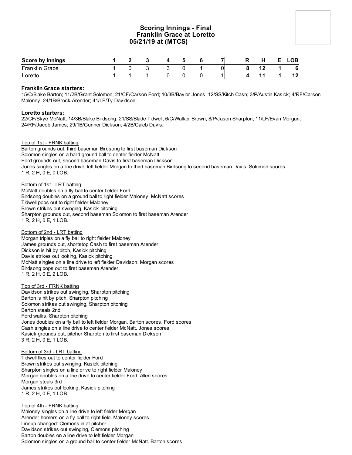## **Scoring Innings - Final Franklin Grace at Loretto 05/21/19 at (MTCS)**

| <b>Score by Innings</b> |  | $\overline{A}$ | 5. |    | R | н |    | <b>LOB</b> |
|-------------------------|--|----------------|----|----|---|---|----|------------|
| <b>Franklin Grace</b>   |  |                |    | 01 |   |   | -1 | - 6        |
| Loretto                 |  |                |    |    |   |   |    |            |

## **Franklin Grace starters:**

15/C/Blake Barton; 11/2B/Grant Solomon; 21/CF/Carson Ford; 10/3B/Baylor Jones; 12/SS/Kitch Cash; 3/P/Austin Kasick; 4/RF/Carson Maloney; 24/1B/Brock Arender; 41/LF/Ty Davidson;

## **Loretto starters:**

22/CF/Skye McNatt; 14/3B/Blake Birdsong; 21/SS/Blade Tidwell; 6/C/Walker Brown; 8/P/Jason Sharpton; 11/LF/Evan Morgan; 24/RF/Jacob James; 29/1B/Gunner Dickson; 4/2B/Caleb Davis;

## Top of 1st - FRNK batting

Barton grounds out, third baseman Birdsong to first baseman Dickson Solomon singles on a hard ground ball to center fielder McNatt Ford grounds out, second baseman Davis to first baseman Dickson Jones singles on a line drive, left fielder Morgan to third baseman Birdsong to second baseman Davis. Solomon scores 1 R, 2 H, 0 E, 0 LOB.

Bottom of 1st - LRT batting

McNatt doubles on a fly ball to center fielder Ford Birdsong doubles on a ground ball to right fielder Maloney. McNatt scores Tidwell pops out to right fielder Maloney Brown strikes out swinging, Kasick pitching Sharpton grounds out, second baseman Solomon to first baseman Arender 1 R, 2 H, 0 E, 1 LOB.

#### Bottom of 2nd - LRT batting

Morgan triples on a fly ball to right fielder Maloney James grounds out, shortstop Cash to first baseman Arender Dickson is hit by pitch, Kasick pitching Davis strikes out looking, Kasick pitching McNatt singles on a line drive to left fielder Davidson. Morgan scores Birdsong pops out to first baseman Arender 1 R, 2 H, 0 E, 2 LOB.

#### Top of 3rd - FRNK batting

Davidson strikes out swinging, Sharpton pitching Barton is hit by pitch, Sharpton pitching Solomon strikes out swinging, Sharpton pitching Barton steals 2nd Ford walks, Sharpton pitching Jones doubles on a fly ball to left fielder Morgan. Barton scores. Ford scores Cash singles on a line drive to center fielder McNatt. Jones scores Kasick grounds out, pitcher Sharpton to first baseman Dickson 3 R, 2 H, 0 E, 1 LOB.

#### Bottom of 3rd - LRT batting

Tidwell flies out to center fielder Ford Brown strikes out swinging, Kasick pitching Sharpton singles on a line drive to right fielder Maloney Morgan doubles on a line drive to center fielder Ford. Allen scores Morgan steals 3rd James strikes out looking, Kasick pitching 1 R, 2 H, 0 E, 1 LOB.

Top of 4th - FRNK batting Maloney singles on a line drive to left fielder Morgan Arender homers on a fly ball to right field. Maloney scores Lineup changed: Clemons in at pitcher Davidson strikes out swinging, Clemons pitching Barton doubles on a line drive to left fielder Morgan Solomon singles on a ground ball to center fielder McNatt. Barton scores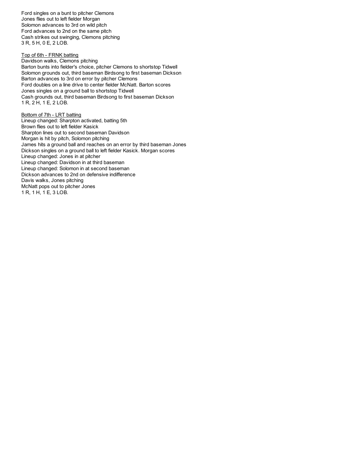Ford singles on a bunt to pitcher Clemons Jones flies out to left fielder Morgan Solomon advances to 3rd on wild pitch Ford advances to 2nd on the same pitch Cash strikes out swinging, Clemons pitching 3 R, 5 H, 0 E, 2 LOB.

Top of 6th - FRNK batting Davidson walks, Clemons pitching Barton bunts into fielder's choice, pitcher Clemons to shortstop Tidwell Solomon grounds out, third baseman Birdsong to first baseman Dickson Barton advances to 3rd on error by pitcher Clemons Ford doubles on a line drive to center fielder McNatt. Barton scores Jones singles on a ground ball to shortstop Tidwell Cash grounds out, third baseman Birdsong to first baseman Dickson 1 R, 2 H, 1 E, 2 LOB.

Bottom of 7th - LRT batting Lineup changed: Sharpton activated, batting 5th Brown flies out to left fielder Kasick Sharpton lines out to second baseman Davidson Morgan is hit by pitch, Solomon pitching James hits a ground ball and reaches on an error by third baseman Jones Dickson singles on a ground ball to left fielder Kasick. Morgan scores Lineup changed: Jones in at pitcher Lineup changed: Davidson in at third baseman Lineup changed: Solomon in at second baseman Dickson advances to 2nd on defensive indifference Davis walks, Jones pitching McNatt pops out to pitcher Jones 1 R, 1 H, 1 E, 3 LOB.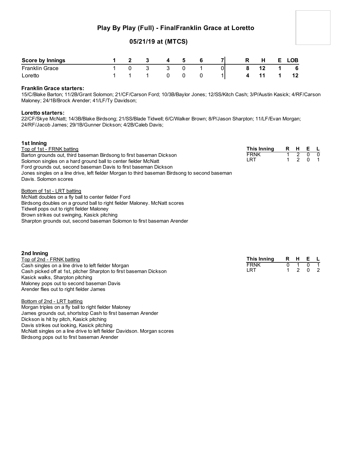## **Play By Play (Full) - FinalFranklin Grace at Loretto**

## **05/21/19 at (MTCS)**

| <b>Score by Innings</b> |  | 4 | -5 |    | R | H | E.       | LOB |
|-------------------------|--|---|----|----|---|---|----------|-----|
| <b>Franklin Grace</b>   |  |   |    | 01 |   |   | $\sim$ 1 | 6   |
| Loretto                 |  |   |    |    |   |   |          |     |

## **Franklin Grace starters:**

15/C/Blake Barton; 11/2B/Grant Solomon; 21/CF/Carson Ford; 10/3B/Baylor Jones; 12/SS/Kitch Cash; 3/P/Austin Kasick; 4/RF/Carson Maloney; 24/1B/Brock Arender; 41/LF/Ty Davidson;

## **Loretto starters:**

22/CF/Skye McNatt; 14/3B/Blake Birdsong; 21/SS/Blade Tidwell; 6/C/Walker Brown; 8/P/Jason Sharpton; 11/LF/Evan Morgan; 24/RF/Jacob James; 29/1B/Gunner Dickson; 4/2B/Caleb Davis;

| 1st Inning                                                                                     |             |         |            |  |
|------------------------------------------------------------------------------------------------|-------------|---------|------------|--|
| Top of 1st - FRNK batting                                                                      | This Inning | R H E L |            |  |
| Barton grounds out, third baseman Birdsong to first baseman Dickson                            | <b>FRNK</b> |         | $0\quad 0$ |  |
| Solomon singles on a hard ground ball to center fielder McNatt                                 | I RT.       |         | 2 0 1      |  |
| Ford grounds out, second baseman Davis to first baseman Dickson                                |             |         |            |  |
| Jones singles on a line drive, left fielder Morgan to third baseman Birdsong to second baseman |             |         |            |  |
| Davis, Solomon scores                                                                          |             |         |            |  |
| Bottom of 1st - LRT batting                                                                    |             |         |            |  |

McNatt doubles on a fly ball to center fielder Ford Birdsong doubles on a ground ball to right fielder Maloney. McNatt scores Tidwell pops out to right fielder Maloney Brown strikes out swinging, Kasick pitching Sharpton grounds out, second baseman Solomon to first baseman Arender

| 2nd Inning                                                        |             |      |         |  |
|-------------------------------------------------------------------|-------------|------|---------|--|
| Top of 2nd - FRNK batting                                         | This Inning | RHEL |         |  |
| Cash singles on a line drive to left fielder Morgan               | <b>FRNK</b> |      |         |  |
| Cash picked off at 1st, pitcher Sharpton to first baseman Dickson | I RT.       |      | 1 2 0 2 |  |
| Kasick walks, Sharpton pitching                                   |             |      |         |  |
| Maloney pops out to second baseman Davis                          |             |      |         |  |
| Arender flies out to right fielder James                          |             |      |         |  |

Bottom of 2nd - LRT batting Morgan triples on a fly ball to right fielder Maloney James grounds out, shortstop Cash to first baseman Arender Dickson is hit by pitch, Kasick pitching Davis strikes out looking, Kasick pitching McNatt singles on a line drive to left fielder Davidson. Morgan scores Birdsong pops out to first baseman Arender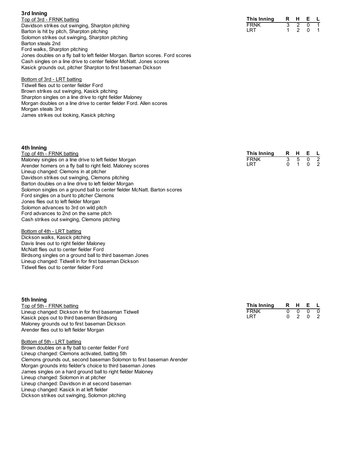## **3rd Inning**

Top of 3rd - FRNK batting Davidson strikes out swinging, Sharpton pitching Barton is hit by pitch, Sharpton pitching Solomon strikes out swinging, Sharpton pitching Barton steals 2nd Ford walks, Sharpton pitching Jones doubles on a fly ball to left fielder Morgan. Barton scores. Ford scores Cash singles on a line drive to center fielder McNatt. Jones scores Kasick grounds out, pitcher Sharpton to first baseman Dickson

## Bottom of 3rd - LRT batting

Tidwell flies out to center fielder Ford Brown strikes out swinging, Kasick pitching Sharpton singles on a line drive to right fielder Maloney Morgan doubles on a line drive to center fielder Ford. Allen scores Morgan steals 3rd James strikes out looking, Kasick pitching

## **4th Inning**

| Top of 4th - FRNK batting                                                | This Inning | R. | н | Е. | $\mathsf{L}$   |
|--------------------------------------------------------------------------|-------------|----|---|----|----------------|
| Maloney singles on a line drive to left fielder Morgan                   | <b>FRNK</b> |    |   |    | $\overline{2}$ |
| Arender homers on a fly ball to right field. Maloney scores              | LRT         |    |   |    |                |
| Lineup changed: Clemons in at pitcher                                    |             |    |   |    |                |
| Davidson strikes out swinging, Clemons pitching                          |             |    |   |    |                |
| Barton doubles on a line drive to left fielder Morgan                    |             |    |   |    |                |
| Solomon singles on a ground ball to center fielder McNatt. Barton scores |             |    |   |    |                |
| Ford singles on a bunt to pitcher Clemons                                |             |    |   |    |                |
| Jones flies out to left fielder Morgan                                   |             |    |   |    |                |
| Solomon advances to 3rd on wild pitch                                    |             |    |   |    |                |
| Ford advances to 2nd on the same pitch                                   |             |    |   |    |                |

Bottom of 4th - LRT batting Dickson walks, Kasick pitching Davis lines out to right fielder Maloney McNatt flies out to center fielder Ford Birdsong singles on a ground ball to third baseman Jones Lineup changed: Tidwell in for first baseman Dickson Tidwell flies out to center fielder Ford

Cash strikes out swinging, Clemons pitching

## **5th Inning**

Top of 5th - FRNK batting Lineup changed: Dickson in for first baseman Tidwell Kasick pops out to third baseman Birdsong Maloney grounds out to first baseman Dickson Arender flies out to left fielder Morgan

## Bottom of 5th - LRT batting

Brown doubles on a fly ball to center fielder Ford Lineup changed: Clemons activated, batting 5th Clemons grounds out, second baseman Solomon to first baseman Arender Morgan grounds into fielder's choice to third baseman Jones James singles on a hard ground ball to right fielder Maloney Lineup changed: Solomon in at pitcher Lineup changed: Davidson in at second baseman Lineup changed: Kasick in at left fielder Dickson strikes out swinging, Solomon pitching

| This Inning | R | н | F |   |
|-------------|---|---|---|---|
| <b>FRNK</b> |   |   |   | n |
| LRT         | ი |   | O |   |

| R | н | F |  |
|---|---|---|--|
|   | っ |   |  |
|   |   | Ω |  |
|   |   |   |  |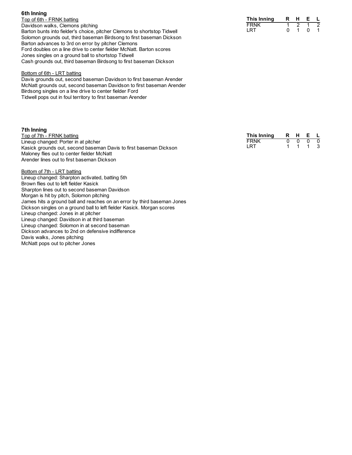Top of 6th - FRNK batting Davidson walks, Clemons pitching Barton bunts into fielder's choice, pitcher Clemons to shortstop Tidwell Solomon grounds out, third baseman Birdsong to first baseman Dickso n Barton advances to 3rd on error by pitcher Clemons Ford doubles on a line drive to center fielder McNatt. Barton scores Jones singles on a ground ball to shortstop Tidwell Cash grounds out, third baseman Birdsong to first baseman Dickson

#### Bottom of 6th - LRT batting

Davis grounds out, second baseman Davidson to first baseman Arender McNatt grounds out, second baseman Davidson to first baseman Arender Birdsong singles on a line drive to center fielder Ford Tidwell pops out in foul territory to first baseman Arender

#### **7 t h I n n i n g**

**6 t h I n n i n g**

Top of 7th - FRNK batting Lineup changed: Porter in at pitcher Kasick grounds out, second baseman Davis to first baseman Dickson Maloney flies out to center fielder McNatt Arender lines out to first baseman Dickson

Bottom of 7th - LRT batting Lineup changed: Sharpton activated, batting 5th Brown flies out to left fielder Kasick Sharpton lines out to second baseman Davidson Morgan is hit by pitch, Solomon pitching James hits a ground ball and reaches on an error by third baseman Jones Dickson singles on a ground ball to left fielder Kasick. Morgan scores Lineup changed: Jones in at pitcher Lineup changed: Davidson in at third baseman Lineup changed: Solomon in at second baseman Dickson advances to 2nd on defensive indifference Davis walks, Jones pitching McNatt pops out to pitcher Jones

**T h i s I n n i n g R H E L** F R N K 1 2 1 2 LRT 0 1 0 1

| This Inning | R | н | ь. |  |
|-------------|---|---|----|--|
| FRNK        |   |   |    |  |
| LRT         |   |   |    |  |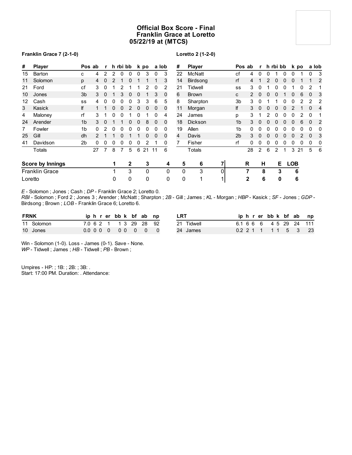## **Official Box Score - Final Franklin Grace at Loretto 05/22/19 at (MTCS)**

## **Franklin Grace 7 (2-1-0)**

## **Loretto 2 (1-2-0)**

| #  | Player                  |                | Pos ab        | $\mathbf{r}$ |              | h rbi bb     |   |             | k po         |          | a lob        | #            | <b>Player</b>  |    |                | Pos ab       |             | r h rbi bb   |   |              |            | k po |          | a lob          |
|----|-------------------------|----------------|---------------|--------------|--------------|--------------|---|-------------|--------------|----------|--------------|--------------|----------------|----|----------------|--------------|-------------|--------------|---|--------------|------------|------|----------|----------------|
| 15 | Barton                  | c              | 4             | 2            | 2            | $\mathbf{0}$ | 0 | 0           | 3            | $\Omega$ | 3            | 22           | <b>McNatt</b>  |    | cf             | 4            | $\Omega$    | <sup>0</sup> |   | 0            | 0          |      | 0        | 3              |
| 11 | Solomon                 | p              | 4             | 0            | 2            |              | 0 |             |              |          | 3            | 14           | Birdsong       |    | rf             | 4            |             |              |   |              | 0          |      |          | $\overline{2}$ |
| 21 | Ford                    | cf             | 3             | 0            |              |              |   |             |              | 0        | 2            | 21           | Tidwell        |    | SS             | 3            | 0           |              |   |              |            |      |          |                |
| 10 | Jones                   | 3 <sub>b</sub> | 3             | $\Omega$     |              | 3            | 0 | 0           |              | 3        | 0            | 6            | <b>Brown</b>   |    | C              | 2            | $\Omega$    |              |   |              | 0          | 6    | $\Omega$ | 3              |
| 12 | Cash                    | SS             | 4             | 0            | 0            | 0            | 0 | 3           | 3            | 6        | 5            | 8            | Sharpton       |    | 3 <sub>b</sub> | 3            | 0           |              |   |              |            |      |          | 2              |
| 3  | Kasick                  | lf             |               |              | $\mathbf{0}$ | 0            | 2 | $\mathbf 0$ | $\mathbf 0$  | 0        | $\Omega$     | 11           | Morgan         |    | lf             | 3            | $\mathbf 0$ | $\mathbf{0}$ | 0 | 0            | 2          |      | $\Omega$ | 4              |
| 4  | Maloney                 | rf             | 3             |              | 0            | 0            |   | 0           |              | 0        | 4            | 24           | James          |    | р              | 3            |             |              | 0 | <sup>0</sup> | 0          | 2    | $\Omega$ |                |
| 24 | Arender                 | 1 <sub>b</sub> | 3             | 0            |              |              | 0 | 0           | 8            | $\Omega$ | 0            | 18           | <b>Dickson</b> |    | 1 <sub>b</sub> | 3            |             |              |   |              |            | 6    | $\Omega$ | $\overline{2}$ |
| 7  | Fowler                  | 1 <sub>b</sub> | $\Omega$      |              | 0            | 0            | 0 | 0           | 0            | 0        | 0            | 19           | Allen          |    | 1 <sub>b</sub> | 0            | 0           |              |   |              | 0          | 0    | $\Omega$ | 0              |
| 25 | Gill                    | dh             | $\mathcal{P}$ |              |              | 0            |   |             | $\mathbf{0}$ | $\Omega$ | 0            | 4            | Davis          |    | 2 <sub>b</sub> | 3            | $\Omega$    |              |   |              | 0          |      | $\Omega$ | 3              |
| 41 | Davidson                | 2b             | $\Omega$      | 0            | 0            | 0            | 0 | 0           | 2            |          | 0            |              | Fisher         |    | rf             | 0            | 0           | 0            | 0 |              | 0          | O    | 0        | 0              |
|    | Totals                  |                | 27            | 7            | 8            | 7            | 5 | 6           | 21           | 11       | 6            |              | Totals         |    |                | 28           | 2           | 6            | 2 |              | 3          | 21   | 5        | - 6            |
|    | <b>Score by Innings</b> |                |               |              |              |              | 2 |             | 3            |          | 4            | 5            | 6              | 71 |                | R            | н           |              | Е |              | <b>LOB</b> |      |          |                |
|    | <b>Franklin Grace</b>   |                |               |              |              |              | 3 |             | $\mathbf 0$  |          | $\mathbf{0}$ | $\mathbf{0}$ | 3              | O  |                |              | 8           |              | 3 |              | 6          |      |          |                |
|    | Loretto                 |                |               |              | $\Omega$     |              | 0 |             | $\Omega$     |          | 0            | 0            | 1              |    |                | $\mathbf{2}$ |             | 6            | 0 |              | 6          |      |          |                |

*E* - Solomon ; Jones ; Cash ; *DP* - Franklin Grace 2; Loretto 0.

*RBI* - Solomon ; Ford 2 ; Jones 3 ; Arender ; McNatt ; Sharpton ; *2B* - Gill ; James ; *KL* - Morgan ; *HBP* - Kasick ; *SF* - Jones ; *GDP* - Birdsong ; Brown ; *LOB* - Franklin Grace 6; Loretto 6.

| <b>FRNK</b> |            |  |  | iphrerbbk bfab np      |  | <b>LRT</b> |  |  |  |  | iphrerbbk bfab np       |
|-------------|------------|--|--|------------------------|--|------------|--|--|--|--|-------------------------|
|             | 11 Solomon |  |  | 7.0 6 2 1 1 3 29 28 92 |  | 21 Tidwell |  |  |  |  | 6.1 6 6 6 4 5 29 24 111 |
|             | 10 Jones   |  |  | 0.000000000            |  | 24 James   |  |  |  |  | 0.2 2 1 1 1 1 5 3 23    |

Win - Solomon (1-0). Loss - James (0-1). Save - None. *WP* - Tidwell ; James ; *HB* - Tidwell ; *PB* - Brown ;

Umpires - HP: ; 1B: ; 2B: ; 3B: . Start: 17:00 PM. Duration: . Attendance: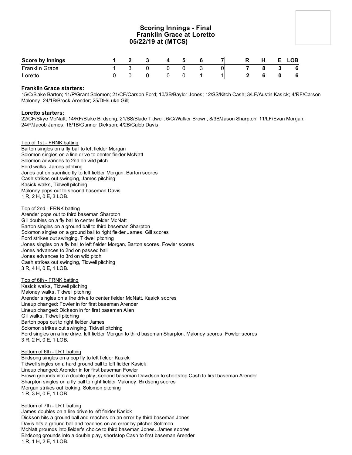## **Scoring Innings - Final Franklin Grace at Loretto 05/22/19 at (MTCS)**

| <b>Score by Innings</b> |  |  | Б. |    | R | Н. | LOB |
|-------------------------|--|--|----|----|---|----|-----|
| <b>Franklin Grace</b>   |  |  |    | Οl |   |    | - 6 |
| Loretto                 |  |  |    |    |   |    | - 6 |

## **Franklin Grace starters:**

15/C/Blake Barton; 11/P/Grant Solomon; 21/CF/Carson Ford; 10/3B/Baylor Jones; 12/SS/Kitch Cash; 3/LF/Austin Kasick; 4/RF/Carson Maloney; 24/1B/Brock Arender; 25/DH/Luke Gill;

## **Loretto starters:**

22/CF/Skye McNatt; 14/RF/Blake Birdsong; 21/SS/Blade Tidwell; 6/C/Walker Brown; 8/3B/Jason Sharpton; 11/LF/Evan Morgan; 24/P/Jacob James; 18/1B/Gunner Dickson; 4/2B/Caleb Davis;

## Top of 1st - FRNK batting

Barton singles on a fly ball to left fielder Morgan Solomon singles on a line drive to center fielder McNatt Solomon advances to 2nd on wild pitch Ford walks, James pitching Jones out on sacrifice fly to left fielder Morgan. Barton scores Cash strikes out swinging, James pitching Kasick walks, Tidwell pitching Maloney pops out to second baseman Davis 1 R, 2 H, 0 E, 3 LOB.

## Top of 2nd - FRNK batting

Arender pops out to third baseman Sharpton Gill doubles on a fly ball to center fielder McNatt Barton singles on a ground ball to third baseman Sharpton Solomon singles on a ground ball to right fielder James. Gill scores Ford strikes out swinging, Tidwell pitching Jones singles on a fly ball to left fielder Morgan. Barton scores. Fowler scores Jones advances to 2nd on passed ball Jones advances to 3rd on wild pitch Cash strikes out swinging, Tidwell pitching 3 R, 4 H, 0 E, 1 LOB.

#### Top of 6th - FRNK batting

Kasick walks, Tidwell pitching Maloney walks, Tidwell pitching Arender singles on a line drive to center fielder McNatt. Kasick scores Lineup changed: Fowler in for first baseman Arender Lineup changed: Dickson in for first baseman Allen Gill walks, Tidwell pitching Barton pops out to right fielder James Solomon strikes out swinging, Tidwell pitching Ford singles on a line drive, left fielder Morgan to third baseman Sharpton. Maloney scores. Fowler scores 3 R, 2 H, 0 E, 1 LOB.

#### Bottom of 6th - LRT batting

Birdsong singles on a pop fly to left fielder Kasick Tidwell singles on a hard ground ball to left fielder Kasick Lineup changed: Arender in for first baseman Fowler Brown grounds into a double play, second baseman Davidson to shortstop Cash to first baseman Arender Sharpton singles on a fly ball to right fielder Maloney. Birdsong scores Morgan strikes out looking, Solomon pitching 1 R, 3 H, 0 E, 1 LOB.

#### Bottom of 7th - LRT batting

James doubles on a line drive to left fielder Kasick Dickson hits a ground ball and reaches on an error by third baseman Jones Davis hits a ground ball and reaches on an error by pitcher Solomon McNatt grounds into fielder's choice to third baseman Jones. James scores Birdsong grounds into a double play, shortstop Cash to first baseman Arender 1 R, 1 H, 2 E, 1 LOB.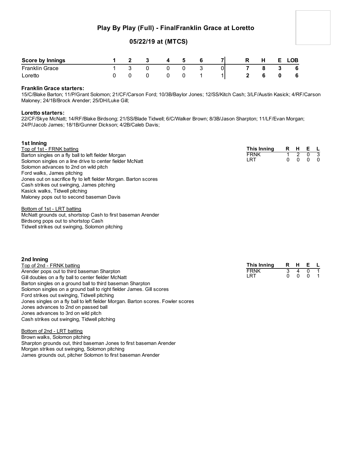## **Play By Play (Full) - FinalFranklin Grace at Loretto**

## **05/22/19 at (MTCS)**

| <b>Score by Innings</b> |  | $\mathbf{A}$ | -5 | $\overline{7}$ | R | Н. |   | <b>LOB</b> |
|-------------------------|--|--------------|----|----------------|---|----|---|------------|
| <b>Franklin Grace</b>   |  |              |    |                |   |    | 3 | 6          |
| Loretto                 |  |              |    |                |   |    |   | - 6        |

## **Franklin Grace starters:**

15/C/Blake Barton; 11/P/Grant Solomon; 21/CF/Carson Ford; 10/3B/Baylor Jones; 12/SS/Kitch Cash; 3/LF/Austin Kasick; 4/RF/Carson Maloney; 24/1B/Brock Arender; 25/DH/Luke Gill;

## **Loretto starters:**

22/CF/Skye McNatt; 14/RF/Blake Birdsong; 21/SS/Blade Tidwell; 6/C/Walker Brown; 8/3B/Jason Sharpton; 11/LF/Evan Morgan; 24/P/Jacob James; 18/1B/Gunner Dickson; 4/2B/Caleb Davis;

## **1st Inning**

| Top of 1st - FRNK batting                                        | This Inning | R | н |   |
|------------------------------------------------------------------|-------------|---|---|---|
| Barton singles on a fly ball to left fielder Morgan              | <b>FRNK</b> |   |   |   |
| Solomon singles on a line drive to center fielder McNatt         | LRT         | 0 |   | 0 |
| Solomon advances to 2nd on wild pitch                            |             |   |   |   |
| Ford walks, James pitching                                       |             |   |   |   |
| Jones out on sacrifice fly to left fielder Morgan. Barton scores |             |   |   |   |
| Cash strikes out swinging, James pitching                        |             |   |   |   |
| Kasick walks, Tidwell pitching                                   |             |   |   |   |
| Maloney pops out to second baseman Davis                         |             |   |   |   |
| Bottom of 1st - LRT batting                                      |             |   |   |   |
| McNatt grounds out, shortstop Cash to first baseman Arender      |             |   |   |   |

McNatt grounds out, shortstop Cash to first baseman Arender Birdsong pops out to shortstop Cash Tidwell strikes out swinging, Solomon pitching

| 2nd Inning                                                           |             |                   |         |  |
|----------------------------------------------------------------------|-------------|-------------------|---------|--|
| Top of 2nd - FRNK batting                                            | This Inning |                   | R H E L |  |
| Arender pops out to third baseman Sharpton                           | <b>FRNK</b> | $\mathbf{\Delta}$ |         |  |
| Gill doubles on a fly ball to center fielder McNatt                  | LRT         |                   | 0 0 0 1 |  |
| Barton singles on a ground ball to third baseman Sharpton            |             |                   |         |  |
| Solomon singles on a ground ball to right fielder James. Gill scores |             |                   |         |  |
|                                                                      |             |                   |         |  |

Ford strikes out swinging, Tidwell pitching Jones singles on a fly ball to left fielder Morgan. Barton scores. Fowler scores Jones advances to 2nd on passed ball Jones advances to 3rd on wild pitch Cash strikes out swinging, Tidwell pitching

Bottom of 2nd - LRT batting Brown walks, Solomon pitching Sharpton grounds out, third baseman Jones to first baseman Arender Morgan strikes out swinging, Solomon pitching James grounds out, pitcher Solomon to first baseman Arender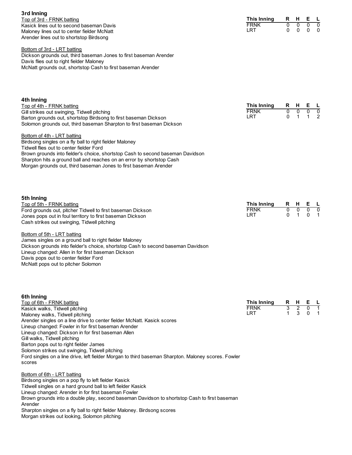**3rd Inning** Top of 3rd - FRNK batting Kasick lines out to second baseman Davis Maloney lines out to center fielder McNatt Arender lines out to shortstop Birdsong

Bottom of 3rd - LRT batting

Dickson grounds out, third baseman Jones to first baseman Arender Davis flies out to right fielder Maloney McNatt grounds out, shortstop Cash to first baseman Arender

| 4th Inning<br>Top of 4th - FRNK batting<br>Gill strikes out swinging, Tidwell pitching<br>Barton grounds out, shortstop Birdsong to first baseman Dickson<br>Solomon grounds out, third baseman Sharpton to first baseman Dickson<br>Bottom of 4th - LRT batting<br>Birdsong singles on a fly ball to right fielder Maloney<br>Tidwell flies out to center fielder Ford<br>Brown grounds into fielder's choice, shortstop Cash to second baseman Davidson<br>Sharpton hits a ground ball and reaches on an error by shortstop Cash                                                                       | <b>This Inning</b><br><b>FRNK</b><br>LRT | R.<br>$\overline{0}$<br>0 | H,<br>$\overline{0}$<br>$\mathbf{1}$ | Е<br>0<br>$\mathbf{1}$              | L<br>$\overline{0}$<br>$\overline{2}$ |
|----------------------------------------------------------------------------------------------------------------------------------------------------------------------------------------------------------------------------------------------------------------------------------------------------------------------------------------------------------------------------------------------------------------------------------------------------------------------------------------------------------------------------------------------------------------------------------------------------------|------------------------------------------|---------------------------|--------------------------------------|-------------------------------------|---------------------------------------|
| Morgan grounds out, third baseman Jones to first baseman Arender<br>5th Inning<br>Top of 5th - FRNK batting<br>Ford grounds out, pitcher Tidwell to first baseman Dickson<br>Jones pops out in foul territory to first baseman Dickson<br>Cash strikes out swinging, Tidwell pitching<br>Bottom of 5th - LRT batting<br>James singles on a ground ball to right fielder Maloney<br>Dickson grounds into fielder's choice, shortstop Cash to second baseman Davidson<br>Lineup changed: Allen in for first baseman Dickson<br>Davis pops out to center fielder Ford<br>McNatt pops out to pitcher Solomon | <b>This Inning</b><br><b>FRNK</b><br>LRT | R<br>$\overline{0}$<br>0  | H,<br>$\overline{0}$<br>1            | Е<br>$\overline{0}$<br>0            | <u>L</u><br>᠊ᢐ<br>1                   |
| 6th Inning<br>Top of 6th - FRNK batting<br>Kasick walks, Tidwell pitching<br>Maloney walks, Tidwell pitching<br>Arender singles on a line drive to center fielder McNatt. Kasick scores<br>Lineup changed: Fowler in for first baseman Arender<br>Lineup changed: Dickson in for first baseman Allen<br>Gill walks, Tidwell pitching<br>Barton pops out to right fielder James<br>Solomon strikes out swinging, Tidwell pitching<br>Ford singles on a line drive, left fielder Morgan to third baseman Sharpton. Maloney scores. Fowler<br>scores                                                        | <b>This Inning</b><br><b>FRNK</b><br>LRT | R<br>3<br>1               | H,<br>$\frac{2}{3}$                  | Е<br>$\overline{0}$<br>$\mathbf{0}$ | L<br>1<br>1                           |
| <u>Bottom of 6th - LRT batting</u><br>Birdsong singles on a pop fly to left fielder Kasick<br>Tidwell singles on a hard ground ball to left fielder Kasick<br>Lineup changed: Arender in for first baseman Fowler<br>Brown grounds into a double play, second baseman Davidson to shortstop Cash to first baseman<br>Arender<br>Sharpton singles on a fly ball to right fielder Maloney. Birdsong scores<br>Morgan strikes out looking, Solomon pitching                                                                                                                                                 |                                          |                           |                                      |                                     |                                       |

**This Inning R H E L** FRNK 0 0 0 0 LRT 0 0 0 0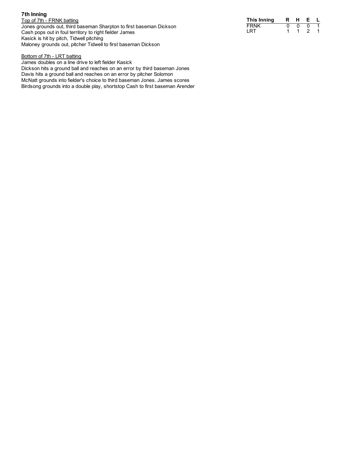## **7 t h I n n i n g**

Top of 7th - FRNK batting Jones grounds out, third baseman Sharpton to first baseman Dickson Cash pops out in foul territory to right fielder James Kasick is hit by pitch, Tidwell pitching Maloney grounds out, pitcher Tidwell to first baseman Dickson

| This Inning | R. | н | ь. |  |
|-------------|----|---|----|--|
| FRNK        |    |   |    |  |
| LRT         |    |   |    |  |

## Bottom of 7th - LRT batting

James doubles on a line drive to left fielder Kasick Dickson hits a ground ball and reaches on an error by third baseman Jones Davis hits a ground ball and reaches on an error by pitcher Solomon McNatt grounds into fielder's choice to third baseman Jones. James scores Birdsong grounds into a double play, shortstop Cash to first baseman Arender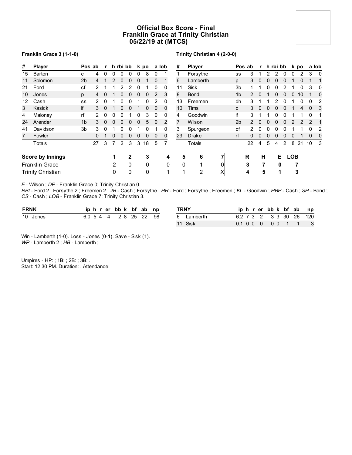## **Official Box Score - Final Franklin Grace at Trinity Christian 05/22/19 at (MTCS)**

## **Franklin Grace 3 (1-1-0)**

## **Trinity Christian 4 (2-0-0)**

| #  | <b>Player</b>            |                | Pos ab | $\mathbf{r}$ |               | h rbi bb |              |          | k po         |          | a lob    | #  | <b>Player</b> |    |                | Pos ab        |              | r h rbi bb   |          |   |            | k po |              | a lob        |
|----|--------------------------|----------------|--------|--------------|---------------|----------|--------------|----------|--------------|----------|----------|----|---------------|----|----------------|---------------|--------------|--------------|----------|---|------------|------|--------------|--------------|
| 15 | Barton                   | c              | 4      | $\Omega$     | 0             | 0        | 0            | 0        | 8            | 0        |          |    | Forsythe      |    | SS             | 3             |              |              |          | 0 | 0          | 2    | 3            | 0            |
| 11 | Solomon                  | 2 <sub>b</sub> | 4      |              | $\mathcal{P}$ | 0        | 0            | 0        |              | 0        |          | 6  | Lamberth      |    | p              | 3             | $\mathbf 0$  | <sup>0</sup> | 0        | 0 |            | 0    |              | $\mathbf{1}$ |
| 21 | Ford                     | cf             | 2      |              |               | 2        | 2            | $\Omega$ |              | 0        | 0        | 11 | Sisk          |    | 3 <sub>b</sub> | 1             |              |              | 0        | 2 |            | 0    | 3            | 0            |
| 10 | Jones                    | p              |        | 0            |               | 0        | 0            | 0        | $\mathbf{0}$ | 2        | 3        | 8  | <b>Bond</b>   |    | 1 <sub>b</sub> | $\mathcal{P}$ | $\Omega$     |              |          | 0 | 0          | 10   |              | 0            |
| 12 | Cash                     | SS             |        | 0            |               | O        | 0            |          | 0            |          | 0        | 13 | Freemen       |    | dh             | 3             |              |              |          |   |            | 0    | 0            | 2            |
| 3  | Kasick                   | lf             | 3      | $\Omega$     |               | 0        | 0            |          | $\mathbf{0}$ | $\Omega$ | $\Omega$ | 10 | Tims          |    | C              | 3             | $\Omega$     | $\Omega$     | $\Omega$ | 0 |            | 4    | $\mathbf{0}$ | 3            |
| 4  | Maloney                  | rf             | 2      | 0            | 0             | 0        |              | 0        | 3            | 0        | 0        | 4  | Goodwin       |    | lf             | 3             |              |              |          |   |            |      | $\Omega$     |              |
| 24 | Arender                  | 1 <sub>b</sub> | 3      | 0            | 0             | 0        | 0            | 0        | 5            | $\Omega$ | 2        |    | Wilson        |    | 2 <sub>b</sub> | $\mathcal{P}$ | $\Omega$     | $\Omega$     | 0        | 0 | 2          |      | 2            |              |
| 41 | Davidson                 | 3 <sub>b</sub> | 3      | 0            |               | 0        | 0            |          | 0            |          | 0        | 3  | Spurgeon      |    | cf             | 2             | $\mathbf{0}$ | 0            | $\Omega$ | n |            |      | 0            | 2            |
| 7  | Fowler                   |                | 0      |              | 0             | 0        | 0            | 0        | $\Omega$     | 0        | 0        | 23 | <b>Drake</b>  |    | rf             | 0             | $\Omega$     | 0            | O        | 0 | 0          |      | $\Omega$     | 0            |
|    | Totals                   |                | 27     | 3            |               | 2        | 3            | 3        | 18           | 5        |          |    | Totals        |    |                | 22            | 4            | 5            | 4        | 2 | 8          | 21   | 10           | - 3          |
|    | <b>Score by Innings</b>  |                |        |              |               |          | $\mathbf{2}$ |          | 3            |          | 4        | 5  | 6             | 71 |                | R             | н            |              | E.       |   | <b>LOB</b> |      |              |              |
|    | <b>Franklin Grace</b>    |                |        |              | 2             |          | $\Omega$     |          | 0            |          | 0        | 0  |               | 01 |                | 3             | 7            |              | 0        |   |            |      |              |              |
|    | <b>Trinity Christian</b> |                |        |              | 0             |          | 0            |          | 0            |          | 1        |    | 2             | X  |                | 4             | 5            |              | 1        |   |            | 3    |              |              |

*E* - Wilson ; *DP* - Franklin Grace 0; Trinity Christian 0.

*RBI* - Ford 2 ; Forsythe 2 ; Freemen 2 ; *2B* - Cash ; Forsythe ; *HR* - Ford ; Forsythe ; Freemen ; *KL* - Goodwin ; *HBP* - Cash ; *SH* - Bond ; *CS* - Cash ; *LOB* - Franklin Grace 7; Trinity Christian 3.

| <b>FRNK</b> | iphrerbbk bfab np      |  |  | TRNY       | iphrerbbk bfab np       |  |  |  |
|-------------|------------------------|--|--|------------|-------------------------|--|--|--|
| 10 Jones    | 6.0 5 4 4 2 8 25 22 98 |  |  | 6 Lamberth | 6.2 7 3 2 3 3 30 26 120 |  |  |  |
|             |                        |  |  | 11 Sisk    | 0.1 0 0 0 0 0 0 1 1 3   |  |  |  |

Win - Lamberth (1-0). Loss - Jones (0-1). Save - Sisk (1). *WP* - Lamberth 2 ; *HB* - Lamberth ;

Umpires - HP: ; 1B: ; 2B: ; 3B: . Start: 12:30 PM. Duration: . Attendance: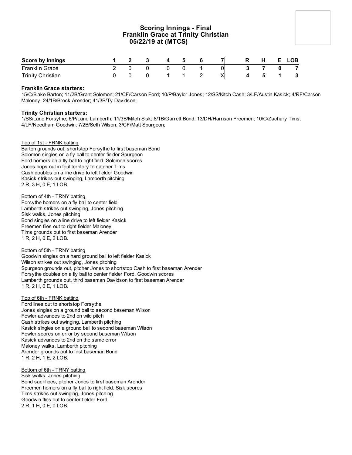## **Scoring Innings - Final Franklin Grace at Trinity Christian 05/22/19 at (MTCS)**

| Score by Innings         |  |  |   |    | н | ∟OB |
|--------------------------|--|--|---|----|---|-----|
| <b>Franklin Grace</b>    |  |  |   | 01 |   |     |
| <b>Trinity Christian</b> |  |  | - | ΧI |   |     |

## **Franklin Grace starters:**

15/C/Blake Barton; 11/2B/Grant Solomon; 21/CF/Carson Ford; 10/P/Baylor Jones; 12/SS/Kitch Cash; 3/LF/Austin Kasick; 4/RF/Carson Maloney; 24/1B/Brock Arender; 41/3B/Ty Davidson;

## **Trinity Christian starters:**

1/SS/Lane Forsythe; 6/P/Lane Lamberth; 11/3B/Mitch Sisk; 8/1B/Garrett Bond; 13/DH/Harrison Freemen; 10/C/Zachary Tims; 4/LF/Needham Goodwin; 7/2B/Seth Wilson; 3/CF/Matt Spurgeon;

## Top of 1st - FRNK batting

Barton grounds out, shortstop Forsythe to first baseman Bond Solomon singles on a fly ball to center fielder Spurgeon Ford homers on a fly ball to right field. Solomon scores Jones pops out in foul territory to catcher Tims Cash doubles on a line drive to left fielder Goodwin Kasick strikes out swinging, Lamberth pitching 2 R, 3 H, 0 E, 1 LOB.

#### Bottom of 4th - TRNY batting

Forsythe homers on a fly ball to center field Lamberth strikes out swinging, Jones pitching Sisk walks, Jones pitching Bond singles on a line drive to left fielder Kasick Freemen flies out to right fielder Maloney Tims grounds out to first baseman Arender 1 R, 2 H, 0 E, 2 LOB.

#### Bottom of 5th - TRNY batting

Goodwin singles on a hard ground ball to left fielder Kasick Wilson strikes out swinging, Jones pitching Spurgeon grounds out, pitcher Jones to shortstop Cash to first baseman Arender Forsythe doubles on a fly ball to center fielder Ford. Goodwin scores Lamberth grounds out, third baseman Davidson to first baseman Arender 1 R, 2 H, 0 E, 1 LOB.

## Top of 6th - FRNK batting

Ford lines out to shortstop Forsythe Jones singles on a ground ball to second baseman Wilson Fowler advances to 2nd on wild pitch Cash strikes out swinging, Lamberth pitching Kasick singles on a ground ball to second baseman Wilson Fowler scores on error by second baseman Wilson Kasick advances to 2nd on the same error Maloney walks, Lamberth pitching Arender grounds out to first baseman Bond 1 R, 2 H, 1 E, 2 LOB.

## Bottom of 6th - TRNY batting

Sisk walks, Jones pitching Bond sacrifices, pitcher Jones to first baseman Arender Freemen homers on a fly ball to right field. Sisk scores Tims strikes out swinging, Jones pitching Goodwin flies out to center fielder Ford 2 R, 1 H, 0 E, 0 LOB.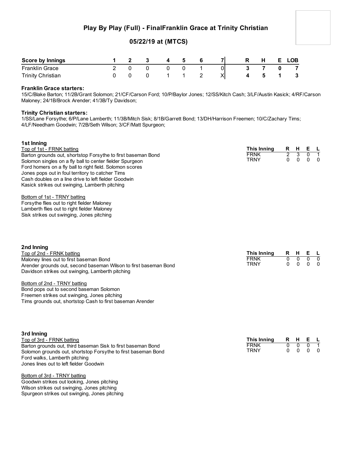## **Play By Play (Full) - FinalFranklin Grace at Trinity Christian**

## **05/22/19 at (MTCS)**

| Score by Innings         |  |  |  |   | п. | <b>LOB</b> |
|--------------------------|--|--|--|---|----|------------|
| <b>Franklin Grace</b>    |  |  |  |   |    |            |
| <b>Trinity Christian</b> |  |  |  | ୵ |    |            |

## **Franklin Grace starters:**

15/C/Blake Barton; 11/2B/Grant Solomon; 21/CF/Carson Ford; 10/P/Baylor Jones; 12/SS/Kitch Cash; 3/LF/Austin Kasick; 4/RF/Carson Maloney; 24/1B/Brock Arender; 41/3B/Ty Davidson;

## **Trinity Christian starters:**

1/SS/Lane Forsythe; 6/P/Lane Lamberth; 11/3B/Mitch Sisk; 8/1B/Garrett Bond; 13/DH/Harrison Freemen; 10/C/Zachary Tims; 4/LF/Needham Goodwin; 7/2B/Seth Wilson; 3/CF/Matt Spurgeon;

| 1st Inning                                                       |             |                |              |                |                |
|------------------------------------------------------------------|-------------|----------------|--------------|----------------|----------------|
| Top of 1st - FRNK batting                                        | This Inning | R              | H            | Е.             | $\mathsf{L}$   |
| Barton grounds out, shortstop Forsythe to first baseman Bond     | <b>FRNK</b> | $\overline{2}$ | 3            | $\overline{0}$ | $\overline{1}$ |
| Solomon singles on a fly ball to center fielder Spurgeon         | <b>TRNY</b> | 0              | $\mathbf{0}$ | 0              | $\Omega$       |
| Ford homers on a fly ball to right field. Solomon scores         |             |                |              |                |                |
| Jones pops out in foul territory to catcher Tims                 |             |                |              |                |                |
| Cash doubles on a line drive to left fielder Goodwin             |             |                |              |                |                |
| Kasick strikes out swinging, Lamberth pitching                   |             |                |              |                |                |
| Bottom of 1st - TRNY batting                                     |             |                |              |                |                |
| Forsythe flies out to right fielder Maloney                      |             |                |              |                |                |
| Lamberth flies out to right fielder Maloney                      |             |                |              |                |                |
| Sisk strikes out swinging, Jones pitching                        |             |                |              |                |                |
|                                                                  |             |                |              |                |                |
| 2nd Inning                                                       |             |                |              |                |                |
| Top of 2nd - FRNK batting                                        | This Inning | R              | H            | Е              | <b>L</b>       |
| Maloney lines out to first baseman Bond                          | <b>FRNK</b> | 0              | 0            | 0              | $\overline{0}$ |
| Arender grounds out, second baseman Wilson to first baseman Bond | <b>TRNY</b> | $\Omega$       | $\Omega$     | $\Omega$       | $\Omega$       |
| Davidson strikes out swinging, Lamberth pitching                 |             |                |              |                |                |
| Bottom of 2nd - TRNY batting                                     |             |                |              |                |                |
| Bond pops out to second baseman Solomon                          |             |                |              |                |                |
| Freemen strikes out swinging, Jones pitching                     |             |                |              |                |                |
| Tims grounds out, shortstop Cash to first baseman Arender        |             |                |              |                |                |

| 3rd Inning                                                    |                     |                          |                                   |  |
|---------------------------------------------------------------|---------------------|--------------------------|-----------------------------------|--|
| Top of 3rd - FRNK batting                                     | This Inning R H E L |                          |                                   |  |
| Barton grounds out, third baseman Sisk to first baseman Bond  | <b>FRNK</b>         | 0 O                      | $\begin{matrix}0 & 1\end{matrix}$ |  |
| Solomon grounds out, shortstop Forsythe to first baseman Bond | <b>TRNY</b>         | $0\quad 0\quad 0\quad 0$ |                                   |  |
| Ford walks, Lamberth pitching                                 |                     |                          |                                   |  |
| Jones lines out to left fielder Goodwin                       |                     |                          |                                   |  |

Bottom of 3rd - TRNY batting

Goodwin strikes out looking, Jones pitching Wilson strikes out swinging, Jones pitching Spurgeon strikes out swinging, Jones pitching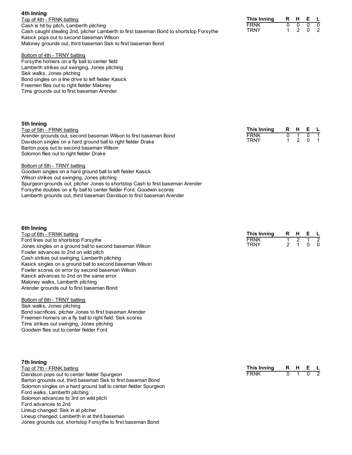| 70111111119                                                                            |
|----------------------------------------------------------------------------------------|
| Top of 4th - FRNK batting                                                              |
| Cash is hit by pitch, Lamberth pitching                                                |
| Cash caught stealing 2nd, pitcher Lamberth to first baseman Bond to shortstop Forsythe |
| Kasick pops out to second baseman Wilson                                               |
| Maloney grounds out, third baseman Sisk to first baseman Bond                          |
|                                                                                        |

#### **This Inning R H E L** FRNK 0 0 0<br>TRNY 1 2 0 **TRNY**

## Bottom of 4th - TRNY batting

Forsythe homers on a fly ball to center field Lamberth strikes out swinging, Jones pitching Sisk walks, Jones pitching Bond singles on a line drive to left fielder Kasick Freemen flies out to right fielder Maloney Tims grounds out to first baseman Arender

## **5th Inning**

**6th Inning**

**4th Inning**

## Top of 5th - FRNK batting

Arender grounds out, second baseman Wilson to first baseman Bond Davidson singles on a hard ground ball to right fielder Drake Barton pops out to second baseman Wilson Solomon flies out to right fielder Drake

| This Innina | н | F |  |
|-------------|---|---|--|
| FRNK        |   |   |  |
| TRNY        |   |   |  |

| Spurgeon grounds out, pitcher Jones to shortstop Cash to first baseman Arender |
|--------------------------------------------------------------------------------|
|                                                                                |
|                                                                                |
|                                                                                |

| Top of 6th - FRNK batting                                | This Inning | RHEL |         |  |
|----------------------------------------------------------|-------------|------|---------|--|
| Ford lines out to shortstop Forsythe                     | <b>FRNK</b> |      |         |  |
| Jones singles on a ground ball to second baseman Wilson  | <b>TRNY</b> |      | 2 1 0 0 |  |
| Fowler advances to 2nd on wild pitch                     |             |      |         |  |
| Cash strikes out swinging, Lamberth pitching             |             |      |         |  |
| Kasick singles on a ground ball to second baseman Wilson |             |      |         |  |

## Maloney walks, Lamberth pitching Arender grounds out to first baseman Bond

## Bottom of 6th - TRNY batting

Sisk walks, Jones pitching Bond sacrifices, pitcher Jones to first baseman Arender Freemen homers on a fly ball to right field. Sisk scores Tims strikes out swinging, Jones pitching Goodwin flies out to center fielder Ford

Fowler scores on error by second baseman Wilson Kasick advances to 2nd on the same error

## **7th Inning**

Top of 7th - FRNK batting Davidson pops out to center fielder Spurgeon Barton grounds out, third baseman Sisk to first baseman Bond Solomon singles on a hard ground ball to center fielder Spurgeon Ford walks, Lamberth pitching Solomon advances to 3rd on wild pitch Ford advances to 2nd Lineup changed: Sisk in at pitcher Lineup changed: Lamberth in at third baseman Jones grounds out, shortstop Forsythe to first baseman Bond

| This Innina |  |  |
|-------------|--|--|
| FRNK        |  |  |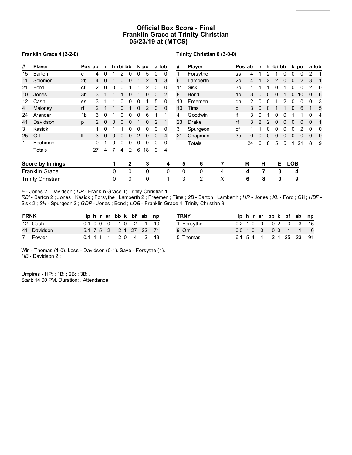## **Official Box Score - Final Franklin Grace at Trinity Christian 05/23/19 at (MTCS)**

## **Franklin Grace 4 (2-2-0)**

## **Trinity Christian 6 (3-0-0)**

| #  | <b>Player</b>            | Pos ab         |               | $\mathbf{r}$ |                | h rbi bb |              |   | k po     |              | a lob        | #            | <b>Player</b>  |          |                | Pos ab | $\mathbf{r}$  |          | h rbi bb |          |            | k po     |          | a lob |
|----|--------------------------|----------------|---------------|--------------|----------------|----------|--------------|---|----------|--------------|--------------|--------------|----------------|----------|----------------|--------|---------------|----------|----------|----------|------------|----------|----------|-------|
| 15 | Barton                   | c              | 4             | $\mathbf{0}$ |                | 2        | $\mathbf{0}$ | 0 | 5        | $\Omega$     | $\mathbf{0}$ |              | Forsythe       |          | SS             | 4      |               | 2        |          | $\Omega$ | 0          | 0        | 2        |       |
| 11 | Solomon                  | 2 <sub>b</sub> | 4             | 0            |                | 0        | 0            |   | 2        |              | 3            | 6            | Lamberth       |          | 2 <sub>b</sub> | 4      |               |          |          |          | 0          |          | 3        |       |
| 21 | Ford                     | cf             |               | $\Omega$     | 0              | 0        |              |   |          | <sup>0</sup> | 0            | 11           | Sisk           |          | 3 <sub>b</sub> |        |               |          |          |          |            |          | 2        | 0     |
| 10 | Jones                    | 3 <sub>b</sub> | 3             |              |                |          | 0            |   | 0        | 0            | 2            | 8            | <b>Bond</b>    |          | 1 <sub>b</sub> | 3      | $\mathbf{0}$  |          |          |          |            | 10       |          | 6     |
| 12 | Cash                     | SS             | 3             |              |                | 0        | 0            | 0 |          | 5            | 0            | 13           | Freemen        |          | dh             | 2      | 0             |          |          |          |            | 0        | 0        | 3     |
| 4  | Maloney                  | rf             | $\mathcal{P}$ |              |                | 0        |              | 0 | 2        | $\Omega$     | $\mathbf 0$  | 10           | Tims           |          | C              | 3      | $\mathbf 0$   | $\Omega$ |          |          | 0          | 6        |          | 5     |
| 24 | Arender                  | 1b             | 3             | 0            |                | 0        | 0            | 0 | 6        |              |              | 4            | Goodwin        |          | lf             | 3      | 0             |          |          | O        |            |          | 0        | 4     |
| 41 | Davidson                 | p              |               | $\Omega$     | O              | 0        | 0            |   | $\Omega$ | 2            |              | 23           | Drake          |          | rf             | 3      | $\mathcal{P}$ |          |          | U        | U          | 0        | $\Omega$ | 1     |
| 3  | Kasick                   |                |               | $\Omega$     |                |          | 0            | 0 | 0        | 0            | 0            | 3            | Spurgeon       |          | cf             |        |               |          |          | 0        |            |          | $\Omega$ | 0     |
| 25 | Gill                     | lf             | 3             | $\Omega$     | 0              | 0        | 0            | 2 | $\Omega$ | $\Omega$     | 4            | 21           | Chapman        |          | 3 <sub>b</sub> | 0      | $\mathbf{0}$  | 0        | $\Omega$ | $\Omega$ | 0          | $\Omega$ | $\Omega$ | 0     |
| 1  | Bechman                  |                | $\Omega$      |              | 0              | 0        | 0            | 0 | 0        | 0            | 0            |              | Totals         |          |                | 24     | 6             | 8        | 5        | 5        | 1          | 21       | 8        | 9     |
|    | Totals                   |                | 27            | 4            | $\overline{7}$ | 4        | 2            | 6 | 18       | 9            | 4            |              |                |          |                |        |               |          |          |          |            |          |          |       |
|    | <b>Score by Innings</b>  |                |               |              | 1              |          | $\mathbf{2}$ |   | 3        |              | 4            | 5            | 6              |          |                | R      | H.            |          | E.       |          | <b>LOB</b> |          |          |       |
|    | <b>Franklin Grace</b>    |                |               |              | 0              |          | 0            |   | 0        |              | 0            | $\mathbf{0}$ | 0              | 4        |                | 4      |               | 7        | 3        |          | 4          |          |          |       |
|    | <b>Trinity Christian</b> |                |               |              | 0              |          | 0            |   | $\Omega$ |              |              | 3            | $\overline{2}$ | $\times$ |                | 6      |               | 8        | 0        |          |            | 9        |          |       |

*E* - Jones 2 ; Davidson ; *DP* - Franklin Grace 1; Trinity Christian 1.

*RBI* - Barton 2 ; Jones ; Kasick ; Forsythe ; Lamberth 2 ; Freemen ; Tims ; *2B* - Barton ; Lamberth ; *HR* - Jones ; *KL* - Ford ; Gill ; *HBP* - Sisk 2 ; *SH* - Spurgeon 2 ; *GDP* - Jones ; Bond ; *LOB* - Franklin Grace 4; Trinity Christian 9.

| <b>FRNK</b> |             |  |  | iphrerbbk bfab np      |  |  | TRNY       |  |  | iphrerbbk bfab np      |  |  |
|-------------|-------------|--|--|------------------------|--|--|------------|--|--|------------------------|--|--|
|             | 12 Cash     |  |  | 0.1 0 0 0 1 0 2 1 10   |  |  | 1 Forsythe |  |  | 0.2 1 0 0 0 0 2 3 3 15 |  |  |
|             | 41 Davidson |  |  | 5.1 7 5 2 2 1 27 22 71 |  |  | 9 Orr      |  |  | 0.0 1 0 0 0 0 1 1 6    |  |  |
|             | 7 Fowler    |  |  | 0.1 1 1 1 2 0 4 2 13   |  |  | 5 Thomas   |  |  | 6.1 5 4 4 2 4 25 23 91 |  |  |

Win - Thomas (1-0). Loss - Davidson (0-1). Save - Forsythe (1). *HB* - Davidson 2 ;

Umpires - HP: ; 1B: ; 2B: ; 3B: . Start: 14:00 PM. Duration: . Attendance: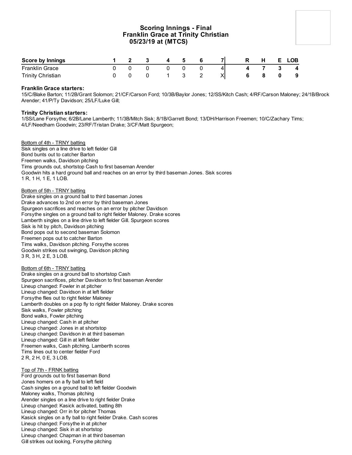## **Scoring Innings - Final Franklin Grace at Trinity Christian 05/23/19 at (MTCS)**

| Score by Innings         |  | $\overline{ }$ | Б. |  | Ð | н | E. | <b>LOB</b> |
|--------------------------|--|----------------|----|--|---|---|----|------------|
| <b>Franklin Grace</b>    |  |                |    |  |   |   |    | -4         |
| <b>Trinity Christian</b> |  |                |    |  |   |   |    | - 9        |

## **Franklin Grace starters:**

15/C/Blake Barton; 11/2B/Grant Solomon; 21/CF/Carson Ford; 10/3B/Baylor Jones; 12/SS/Kitch Cash; 4/RF/Carson Maloney; 24/1B/Brock Arender; 41/P/Ty Davidson; 25/LF/Luke Gill;

## **Trinity Christian starters:**

1/SS/Lane Forsythe; 6/2B/Lane Lamberth; 11/3B/Mitch Sisk; 8/1B/Garrett Bond; 13/DH/Harrison Freemen; 10/C/Zachary Tims; 4/LF/Needham Goodwin; 23/RF/Tristan Drake; 3/CF/Matt Spurgeon;

## Bottom of 4th - TRNY batting

Sisk singles on a line drive to left fielder Gill Bond bunts out to catcher Barton Freemen walks, Davidson pitching Tims grounds out, shortstop Cash to first baseman Arender Goodwin hits a hard ground ball and reaches on an error by third baseman Jones. Sisk scores 1 R, 1 H, 1 E, 1 LOB.

#### Bottom of 5th - TRNY batting

Drake singles on a ground ball to third baseman Jones Drake advances to 2nd on error by third baseman Jones Spurgeon sacrifices and reaches on an error by pitcher Davidson Forsythe singles on a ground ball to right fielder Maloney. Drake scores Lamberth singles on a line drive to left fielder Gill. Spurgeon scores Sisk is hit by pitch, Davidson pitching Bond pops out to second baseman Solomon Freemen pops out to catcher Barton Tims walks, Davidson pitching. Forsythe scores Goodwin strikes out swinging, Davidson pitching 3 R, 3 H, 2 E, 3 LOB.

## Bottom of 6th - TRNY batting

Drake singles on a ground ball to shortstop Cash Spurgeon sacrifices, pitcher Davidson to first baseman Arender Lineup changed: Fowler in at pitcher Lineup changed: Davidson in at left fielder Forsythe flies out to right fielder Maloney Lamberth doubles on a pop fly to right fielder Maloney. Drake scores Sisk walks, Fowler pitching Bond walks, Fowler pitching Lineup changed: Cash in at pitcher Lineup changed: Jones in at shortstop Lineup changed: Davidson in at third baseman Lineup changed: Gill in at left fielder Freemen walks, Cash pitching. Lamberth scores Tims lines out to center fielder Ford 2 R, 2 H, 0 E, 3 LOB.

## Top of 7th - FRNK batting

Ford grounds out to first baseman Bond Jones homers on a fly ball to left field Cash singles on a ground ball to left fielder Goodwin Maloney walks, Thomas pitching Arender singles on a line drive to right fielder Drake Lineup changed: Kasick activated, batting 8th Lineup changed: Orr in for pitcher Thomas Kasick singles on a fly ball to right fielder Drake. Cash scores Lineup changed: Forsythe in at pitcher Lineup changed: Sisk in at shortstop Lineup changed: Chapman in at third baseman Gill strikes out looking, Forsythe pitching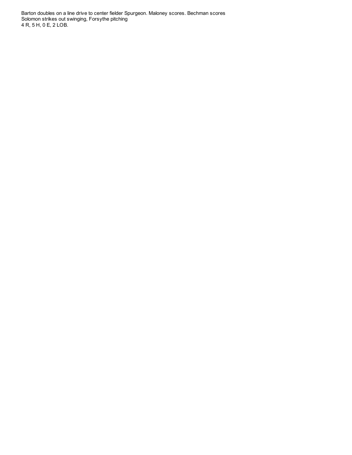Barton doubles on a line drive to center fielder Spurgeon. Maloney scores. Bechman scores Solomon strikes out swinging, Forsythe pitching 4 R, 5 H, 0 E, 2 LOB.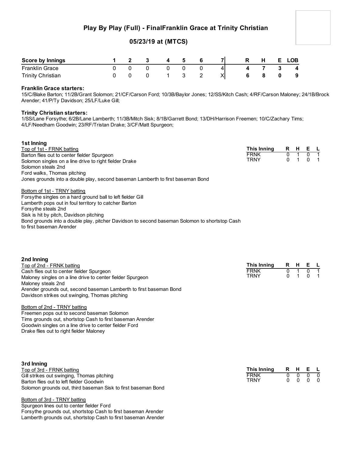## **Play By Play (Full) - FinalFranklin Grace at Trinity Christian**

## **05/23/19 at (MTCS)**

| <b>Score by Innings</b>  |  |  | Б. |    | н. | <b>LOB</b> |
|--------------------------|--|--|----|----|----|------------|
| <b>Franklin Grace</b>    |  |  |    | 41 |    | 4          |
| <b>Trinity Christian</b> |  |  |    |    |    | 9          |

## **Franklin Grace starters:**

15/C/Blake Barton; 11/2B/Grant Solomon; 21/CF/Carson Ford; 10/3B/Baylor Jones; 12/SS/Kitch Cash; 4/RF/Carson Maloney; 24/1B/Brock Arender; 41/P/Ty Davidson; 25/LF/Luke Gill;

## **Trinity Christian starters:**

Ford walks, Thomas pitching

**1st Inning**

1/SS/Lane Forsythe; 6/2B/Lane Lamberth; 11/3B/Mitch Sisk; 8/1B/Garrett Bond; 13/DH/Harrison Freemen; 10/C/Zachary Tims; 4/LF/Needham Goodwin; 23/RF/Tristan Drake; 3/CF/Matt Spurgeon;

| 151 1111111111111111111111                             |             |      |         |  |
|--------------------------------------------------------|-------------|------|---------|--|
| Top of 1st - FRNK batting                              | This Inning | RHEL |         |  |
| Barton flies out to center fielder Spurgeon            | <b>FRNK</b> |      | 01 0 1  |  |
| Solomon singles on a line drive to right fielder Drake | TRNY        |      | 0 1 0 1 |  |
| Solomon steals 2nd                                     |             |      |         |  |

Jones grounds into a double play, second baseman Lamberth to first baseman Bond Bottom of 1st - TRNY batting Forsythe singles on a hard ground ball to left fielder Gill Lamberth pops out in foul territory to catcher Barton Forsythe steals 2nd

Sisk is hit by pitch, Davidson pitching

Bond grounds into a double play, pitcher Davidson to second baseman Solomon to shortstop Cash to first baseman Arender

**2nd Inning** Top of 2nd - FRNK batting Cash flies out to center fielder Spurgeon Maloney singles on a line drive to center fielder Spurgeon Maloney steals 2nd Arender grounds out, second baseman Lamberth to first baseman Bond Davidson strikes out swinging, Thomas pitching **This Inning R H E L** FRNK 0 1 **TRNY** 

## Bottom of 2nd - TRNY batting

Freemen pops out to second baseman Solomon Tims grounds out, shortstop Cash to first baseman Arender Goodwin singles on a line drive to center fielder Ford Drake flies out to right fielder Maloney

| 3rd Inning                                                    |             |         |                             |  |
|---------------------------------------------------------------|-------------|---------|-----------------------------|--|
| Top of 3rd - FRNK batting                                     | This Inning | R H E L |                             |  |
| Gill strikes out swinging, Thomas pitching                    | <b>FRNK</b> |         | $0 \quad 0 \quad 0 \quad 0$ |  |
| Barton flies out to left fielder Goodwin                      | TRNY        |         | $0\quad 0\quad 0\quad 0$    |  |
| Solomon grounds out, third baseman Sisk to first baseman Bond |             |         |                             |  |

#### Bottom of 3rd - TRNY batting

Spurgeon lines out to center fielder Ford Forsythe grounds out, shortstop Cash to first baseman Arender Lamberth grounds out, shortstop Cash to first baseman Arender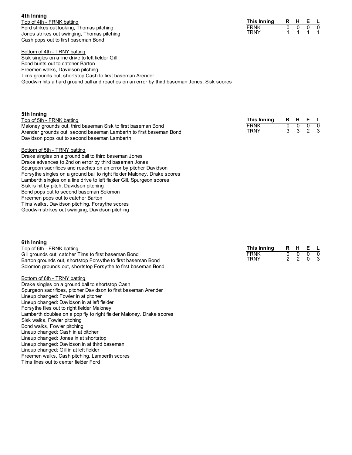**4th Inning** Top of 4th - FRNK batting Ford strikes out looking, Thomas pitching Jones strikes out swinging, Thomas pitching Cash pops out to first baseman Bond

Bottom of 4th - TRNY batting Sisk singles on a line drive to left fielder Gill Bond bunts out to catcher Barton Freemen walks, Davidson pitching Tims grounds out, shortstop Cash to first baseman Arender Goodwin hits a hard ground ball and reaches on an error by third baseman Jones. Sisk scores

| 5th Inning                                                                                                                          |                            |          |                |  |
|-------------------------------------------------------------------------------------------------------------------------------------|----------------------------|----------|----------------|--|
| Top of 5th - FRNK batting                                                                                                           | This Inning                |          | R H E L        |  |
| Maloney grounds out, third baseman Sisk to first baseman Bond<br>Arender grounds out, second baseman Lamberth to first baseman Bond | <b>FRNK</b><br><b>TRNY</b> | $\Omega$ | 000<br>3 3 2 3 |  |
| Davidson pops out to second baseman Lamberth                                                                                        |                            |          |                |  |

## Bottom of 5th - TRNY batting

Drake singles on a ground ball to third baseman Jones Drake advances to 2nd on error by third baseman Jones Spurgeon sacrifices and reaches on an error by pitcher Davidson Forsythe singles on a ground ball to right fielder Maloney. Drake scores Lamberth singles on a line drive to left fielder Gill. Spurgeon scores Sisk is hit by pitch, Davidson pitching Bond pops out to second baseman Solomon Freemen pops out to catcher Barton Tims walks, Davidson pitching. Forsythe scores Goodwin strikes out swinging, Davidson pitching

#### **6th Inning**

Top of 6th - FRNK batting Gill grounds out, catcher Tims to first baseman Bond Barton grounds out, shortstop Forsythe to first baseman Bond Solomon grounds out, shortstop Forsythe to first baseman Bond

## Bottom of 6th - TRNY batting

Drake singles on a ground ball to shortstop Cash Spurgeon sacrifices, pitcher Davidson to first baseman Arender Lineup changed: Fowler in at pitcher Lineup changed: Davidson in at left fielder Forsythe flies out to right fielder Maloney Lamberth doubles on a pop fly to right fielder Maloney. Drake scores Sisk walks, Fowler pitching Bond walks, Fowler pitching Lineup changed: Cash in at pitcher Lineup changed: Jones in at shortstop Lineup changed: Davidson in at third baseman Lineup changed: Gill in at left fielder Freemen walks, Cash pitching. Lamberth scores Tims lines out to center fielder Ford

| This Inning | R. | н | н. |  |
|-------------|----|---|----|--|
| FRNK        |    |   |    |  |
| TRNY        |    |   |    |  |

| <b>This Inning</b> |  |  |
|--------------------|--|--|
| <b>FRNK</b>        |  |  |
| TRNY               |  |  |